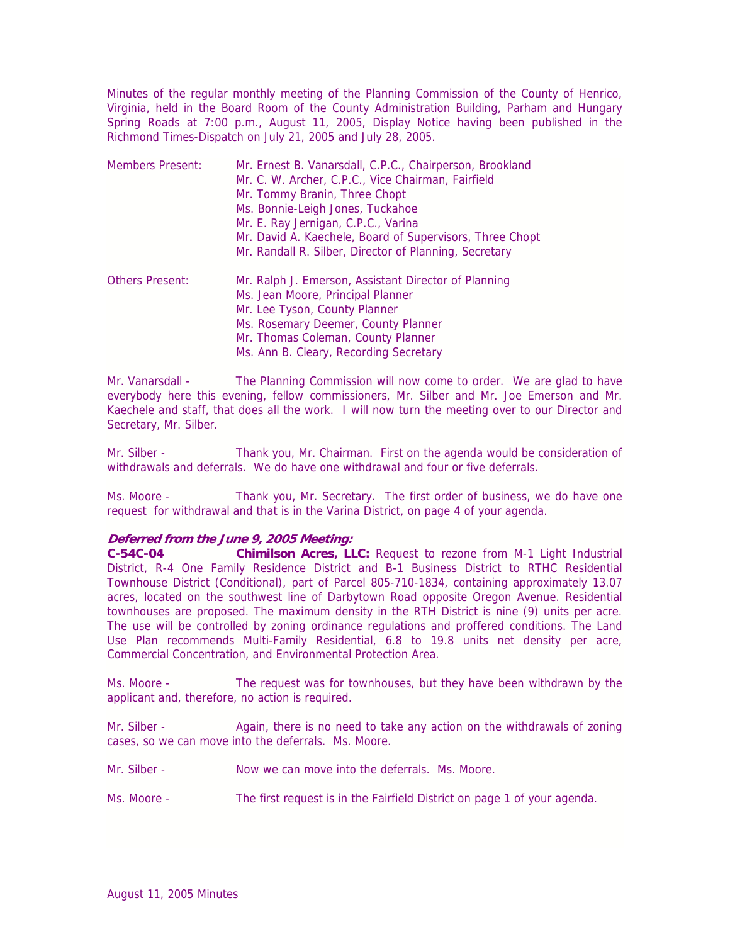Minutes of the regular monthly meeting of the Planning Commission of the County of Henrico, Virginia, held in the Board Room of the County Administration Building, Parham and Hungary Spring Roads at 7:00 p.m., August 11, 2005, Display Notice having been published in the Richmond Times-Dispatch on July 21, 2005 and July 28, 2005.

| <b>Members Present:</b> | Mr. Ernest B. Vanarsdall, C.P.C., Chairperson, Brookland<br>Mr. C. W. Archer, C.P.C., Vice Chairman, Fairfield<br>Mr. Tommy Branin, Three Chopt<br>Ms. Bonnie-Leigh Jones, Tuckahoe<br>Mr. E. Ray Jernigan, C.P.C., Varina<br>Mr. David A. Kaechele, Board of Supervisors, Three Chopt<br>Mr. Randall R. Silber, Director of Planning, Secretary |
|-------------------------|--------------------------------------------------------------------------------------------------------------------------------------------------------------------------------------------------------------------------------------------------------------------------------------------------------------------------------------------------|
| <b>Others Present:</b>  | Mr. Ralph J. Emerson, Assistant Director of Planning<br>Ms. Jean Moore, Principal Planner<br>Mr. Lee Tyson, County Planner<br>Ms. Rosemary Deemer, County Planner<br>Mr. Thomas Coleman, County Planner<br>Ms. Ann B. Cleary, Recording Secretary                                                                                                |

Mr. Vanarsdall - The Planning Commission will now come to order. We are glad to have everybody here this evening, fellow commissioners, Mr. Silber and Mr. Joe Emerson and Mr. Kaechele and staff, that does all the work. I will now turn the meeting over to our Director and Secretary, Mr. Silber.

Mr. Silber - Thank you, Mr. Chairman. First on the agenda would be consideration of withdrawals and deferrals. We do have one withdrawal and four or five deferrals.

Ms. Moore - Thank you, Mr. Secretary. The first order of business, we do have one request for withdrawal and that is in the Varina District, on page 4 of your agenda.

### **Deferred from the June 9, 2005 Meeting:**

**C-54C-04 Chimilson Acres, LLC:** Request to rezone from M-1 Light Industrial District, R-4 One Family Residence District and B-1 Business District to RTHC Residential Townhouse District (Conditional), part of Parcel 805-710-1834, containing approximately 13.07 acres, located on the southwest line of Darbytown Road opposite Oregon Avenue. Residential townhouses are proposed. The maximum density in the RTH District is nine (9) units per acre. The use will be controlled by zoning ordinance regulations and proffered conditions. The Land Use Plan recommends Multi-Family Residential, 6.8 to 19.8 units net density per acre, Commercial Concentration, and Environmental Protection Area.

Ms. Moore - The request was for townhouses, but they have been withdrawn by the applicant and, therefore, no action is required.

Mr. Silber - Again, there is no need to take any action on the withdrawals of zoning cases, so we can move into the deferrals. Ms. Moore.

Mr. Silber - Now we can move into the deferrals. Ms. Moore.

Ms. Moore - The first request is in the Fairfield District on page 1 of your agenda.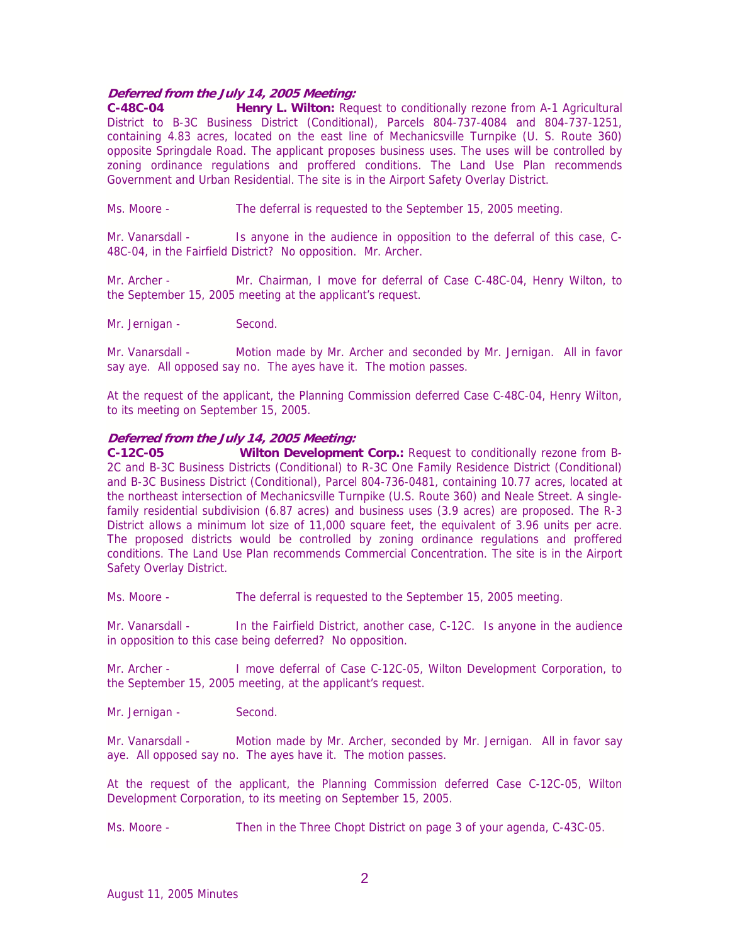# **Deferred from the July 14, 2005 Meeting:**

**C-48C-04 Henry L. Wilton:** Request to conditionally rezone from A-1 Agricultural District to B-3C Business District (Conditional), Parcels 804-737-4084 and 804-737-1251, containing 4.83 acres, located on the east line of Mechanicsville Turnpike (U. S. Route 360) opposite Springdale Road. The applicant proposes business uses. The uses will be controlled by zoning ordinance regulations and proffered conditions. The Land Use Plan recommends Government and Urban Residential. The site is in the Airport Safety Overlay District.

Ms. Moore - The deferral is requested to the September 15, 2005 meeting.

Mr. Vanarsdall - Is anyone in the audience in opposition to the deferral of this case, C-48C-04, in the Fairfield District? No opposition. Mr. Archer.

Mr. Archer - Mr. Chairman, I move for deferral of Case C-48C-04, Henry Wilton, to the September 15, 2005 meeting at the applicant's request.

Mr. Jernigan - Second.

Mr. Vanarsdall - Motion made by Mr. Archer and seconded by Mr. Jernigan. All in favor say aye. All opposed say no. The ayes have it. The motion passes.

At the request of the applicant, the Planning Commission deferred Case C-48C-04, Henry Wilton, to its meeting on September 15, 2005.

### **Deferred from the July 14, 2005 Meeting:**

**C-12C-05 Wilton Development Corp.:** Request to conditionally rezone from B-2C and B-3C Business Districts (Conditional) to R-3C One Family Residence District (Conditional) and B-3C Business District (Conditional), Parcel 804-736-0481, containing 10.77 acres, located at the northeast intersection of Mechanicsville Turnpike (U.S. Route 360) and Neale Street. A singlefamily residential subdivision (6.87 acres) and business uses (3.9 acres) are proposed. The R-3 District allows a minimum lot size of 11,000 square feet, the equivalent of 3.96 units per acre. The proposed districts would be controlled by zoning ordinance regulations and proffered conditions. The Land Use Plan recommends Commercial Concentration. The site is in the Airport Safety Overlay District.

Ms. Moore - The deferral is requested to the September 15, 2005 meeting.

Mr. Vanarsdall - In the Fairfield District, another case, C-12C. Is anyone in the audience in opposition to this case being deferred? No opposition.

Mr. Archer - I move deferral of Case C-12C-05, Wilton Development Corporation, to the September 15, 2005 meeting, at the applicant's request.

Mr. Jernigan - Second.

Mr. Vanarsdall - Motion made by Mr. Archer, seconded by Mr. Jernigan. All in favor say aye. All opposed say no. The ayes have it. The motion passes.

At the request of the applicant, the Planning Commission deferred Case C-12C-05, Wilton Development Corporation, to its meeting on September 15, 2005.

Ms. Moore - Then in the Three Chopt District on page 3 of your agenda, C-43C-05.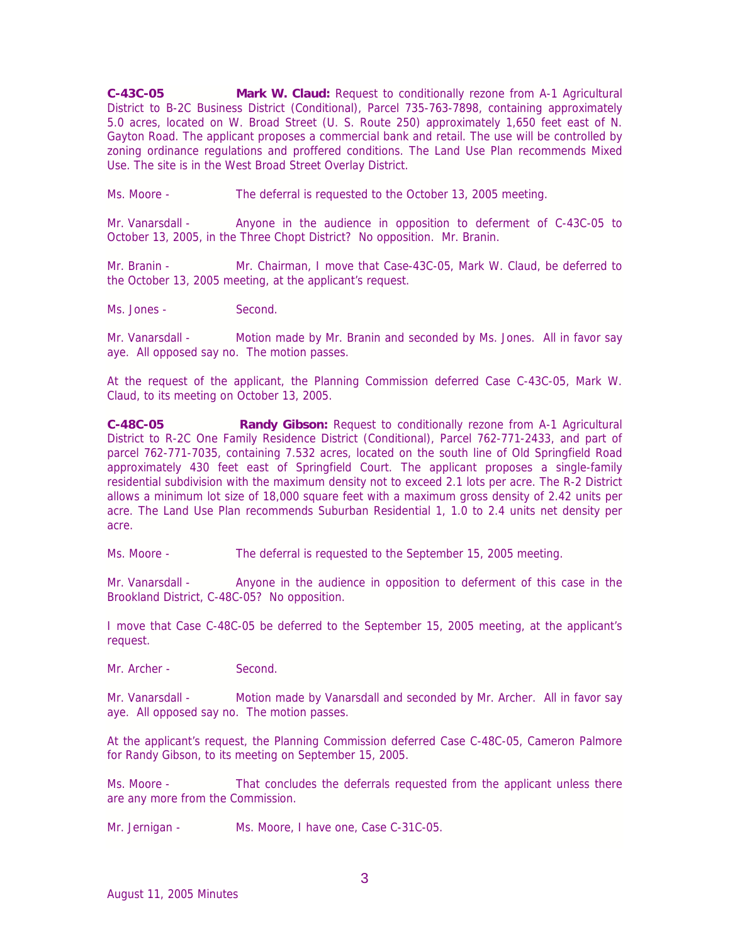**C-43C-05 Mark W. Claud:** Request to conditionally rezone from A-1 Agricultural District to B-2C Business District (Conditional), Parcel 735-763-7898, containing approximately 5.0 acres, located on W. Broad Street (U. S. Route 250) approximately 1,650 feet east of N. Gayton Road. The applicant proposes a commercial bank and retail. The use will be controlled by zoning ordinance regulations and proffered conditions. The Land Use Plan recommends Mixed Use. The site is in the West Broad Street Overlay District.

Ms. Moore - The deferral is requested to the October 13, 2005 meeting.

Mr. Vanarsdall - Anyone in the audience in opposition to deferment of C-43C-05 to October 13, 2005, in the Three Chopt District? No opposition. Mr. Branin.

Mr. Branin - Mr. Chairman, I move that Case-43C-05, Mark W. Claud, be deferred to the October 13, 2005 meeting, at the applicant's request.

Ms. Jones - Second.

Mr. Vanarsdall - Motion made by Mr. Branin and seconded by Ms. Jones. All in favor say aye. All opposed say no. The motion passes.

At the request of the applicant, the Planning Commission deferred Case C-43C-05, Mark W. Claud, to its meeting on October 13, 2005.

**C-48C-05 Randy Gibson:** Request to conditionally rezone from A-1 Agricultural District to R-2C One Family Residence District (Conditional), Parcel 762-771-2433, and part of parcel 762-771-7035, containing 7.532 acres, located on the south line of Old Springfield Road approximately 430 feet east of Springfield Court. The applicant proposes a single-family residential subdivision with the maximum density not to exceed 2.1 lots per acre. The R-2 District allows a minimum lot size of 18,000 square feet with a maximum gross density of 2.42 units per acre. The Land Use Plan recommends Suburban Residential 1, 1.0 to 2.4 units net density per acre.

Ms. Moore - The deferral is requested to the September 15, 2005 meeting.

Mr. Vanarsdall - Anyone in the audience in opposition to deferment of this case in the Brookland District, C-48C-05? No opposition.

I move that Case C-48C-05 be deferred to the September 15, 2005 meeting, at the applicant's request.

Mr. Archer - Second.

Mr. Vanarsdall - Motion made by Vanarsdall and seconded by Mr. Archer. All in favor say aye. All opposed say no. The motion passes.

At the applicant's request, the Planning Commission deferred Case C-48C-05, Cameron Palmore for Randy Gibson, to its meeting on September 15, 2005.

Ms. Moore - That concludes the deferrals requested from the applicant unless there are any more from the Commission.

Mr. Jernigan - Ms. Moore, I have one, Case C-31C-05.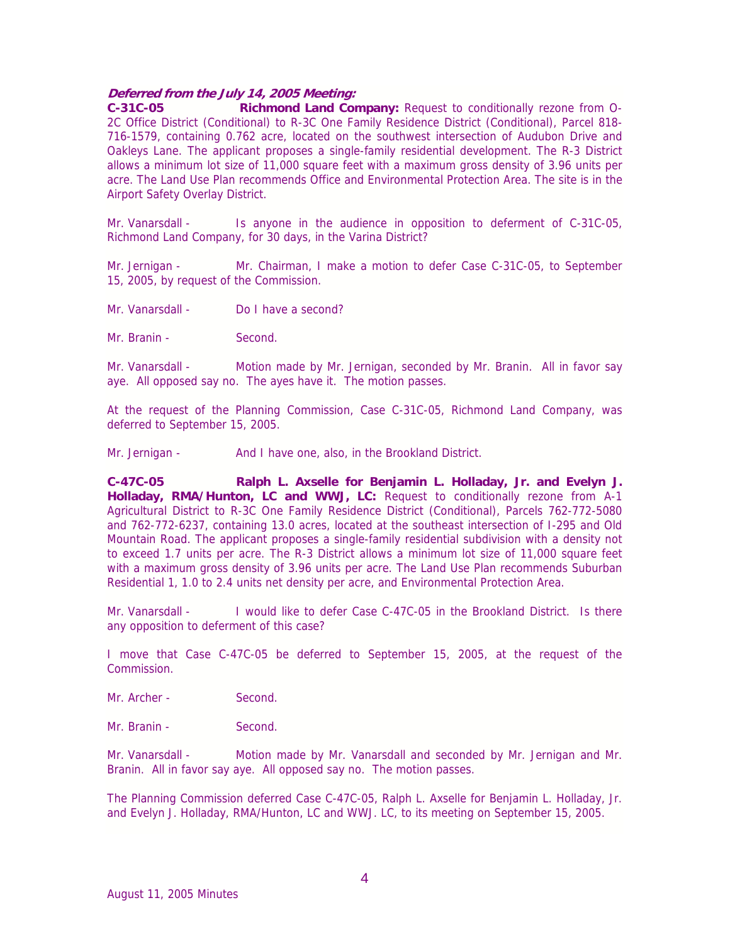## **Deferred from the July 14, 2005 Meeting:**

**C-31C-05 Richmond Land Company:** Request to conditionally rezone from O-2C Office District (Conditional) to R-3C One Family Residence District (Conditional), Parcel 818- 716-1579, containing 0.762 acre, located on the southwest intersection of Audubon Drive and Oakleys Lane. The applicant proposes a single-family residential development. The R-3 District allows a minimum lot size of 11,000 square feet with a maximum gross density of 3.96 units per acre. The Land Use Plan recommends Office and Environmental Protection Area. The site is in the Airport Safety Overlay District.

Mr. Vanarsdall - Is anyone in the audience in opposition to deferment of C-31C-05, Richmond Land Company, for 30 days, in the Varina District?

Mr. Jernigan - Mr. Chairman, I make a motion to defer Case C-31C-05, to September 15, 2005, by request of the Commission.

Mr. Vanarsdall - Do I have a second?

Mr. Branin - Second.

Mr. Vanarsdall - Motion made by Mr. Jernigan, seconded by Mr. Branin. All in favor say aye. All opposed say no. The ayes have it. The motion passes.

At the request of the Planning Commission, Case C-31C-05, Richmond Land Company, was deferred to September 15, 2005.

Mr. Jernigan - And I have one, also, in the Brookland District.

**C-47C-05 Ralph L. Axselle for Benjamin L. Holladay, Jr. and Evelyn J. Holladay, RMA/Hunton, LC and WWJ, LC:** Request to conditionally rezone from A-1 Agricultural District to R-3C One Family Residence District (Conditional), Parcels 762-772-5080 and 762-772-6237, containing 13.0 acres, located at the southeast intersection of I-295 and Old Mountain Road. The applicant proposes a single-family residential subdivision with a density not to exceed 1.7 units per acre. The R-3 District allows a minimum lot size of 11,000 square feet with a maximum gross density of 3.96 units per acre. The Land Use Plan recommends Suburban Residential 1, 1.0 to 2.4 units net density per acre, and Environmental Protection Area.

Mr. Vanarsdall - I would like to defer Case C-47C-05 in the Brookland District. Is there any opposition to deferment of this case?

I move that Case C-47C-05 be deferred to September 15, 2005, at the request of the Commission.

Mr. Archer - Second.

Mr. Branin - Second.

Mr. Vanarsdall - Motion made by Mr. Vanarsdall and seconded by Mr. Jernigan and Mr. Branin. All in favor say aye. All opposed say no. The motion passes.

The Planning Commission deferred Case C-47C-05, Ralph L. Axselle for Benjamin L. Holladay, Jr. and Evelyn J. Holladay, RMA/Hunton, LC and WWJ. LC, to its meeting on September 15, 2005.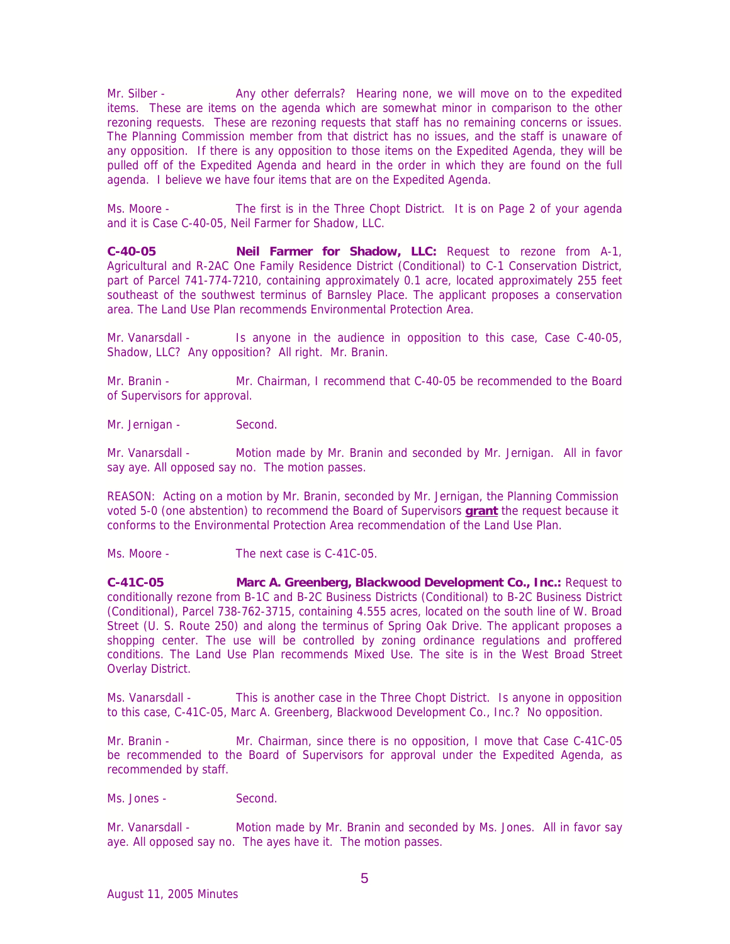Mr. Silber - Any other deferrals? Hearing none, we will move on to the expedited items. These are items on the agenda which are somewhat minor in comparison to the other rezoning requests. These are rezoning requests that staff has no remaining concerns or issues. The Planning Commission member from that district has no issues, and the staff is unaware of any opposition. If there is any opposition to those items on the Expedited Agenda, they will be pulled off of the Expedited Agenda and heard in the order in which they are found on the full agenda. I believe we have four items that are on the Expedited Agenda.

Ms. Moore - The first is in the Three Chopt District. It is on Page 2 of your agenda and it is Case C-40-05, Neil Farmer for Shadow, LLC.

**C-40-05 Neil Farmer for Shadow, LLC:** Request to rezone from A-1, Agricultural and R-2AC One Family Residence District (Conditional) to C-1 Conservation District, part of Parcel 741-774-7210, containing approximately 0.1 acre, located approximately 255 feet southeast of the southwest terminus of Barnsley Place. The applicant proposes a conservation area. The Land Use Plan recommends Environmental Protection Area.

Mr. Vanarsdall - Is anyone in the audience in opposition to this case, Case C-40-05, Shadow, LLC? Any opposition? All right. Mr. Branin.

Mr. Branin - Mr. Chairman, I recommend that C-40-05 be recommended to the Board of Supervisors for approval.

Mr. Jernigan - Second.

Mr. Vanarsdall - Motion made by Mr. Branin and seconded by Mr. Jernigan. All in favor say aye. All opposed say no. The motion passes.

REASON: Acting on a motion by Mr. Branin, seconded by Mr. Jernigan, the Planning Commission voted 5-0 (one abstention) to recommend the Board of Supervisors **grant** the request because it conforms to the Environmental Protection Area recommendation of the Land Use Plan.

Ms. Moore - The next case is C-41C-05.

**C-41C-05 Marc A. Greenberg, Blackwood Development Co., Inc.:** Request to conditionally rezone from B-1C and B-2C Business Districts (Conditional) to B-2C Business District (Conditional), Parcel 738-762-3715, containing 4.555 acres, located on the south line of W. Broad Street (U. S. Route 250) and along the terminus of Spring Oak Drive. The applicant proposes a shopping center. The use will be controlled by zoning ordinance regulations and proffered conditions. The Land Use Plan recommends Mixed Use. The site is in the West Broad Street Overlay District.

Ms. Vanarsdall - This is another case in the Three Chopt District. Is anyone in opposition to this case, C-41C-05, Marc A. Greenberg, Blackwood Development Co., Inc.? No opposition.

Mr. Branin - Mr. Chairman, since there is no opposition, I move that Case C-41C-05 be recommended to the Board of Supervisors for approval under the Expedited Agenda, as recommended by staff.

Ms. Jones - Second.

Mr. Vanarsdall - Motion made by Mr. Branin and seconded by Ms. Jones. All in favor say aye. All opposed say no. The ayes have it. The motion passes.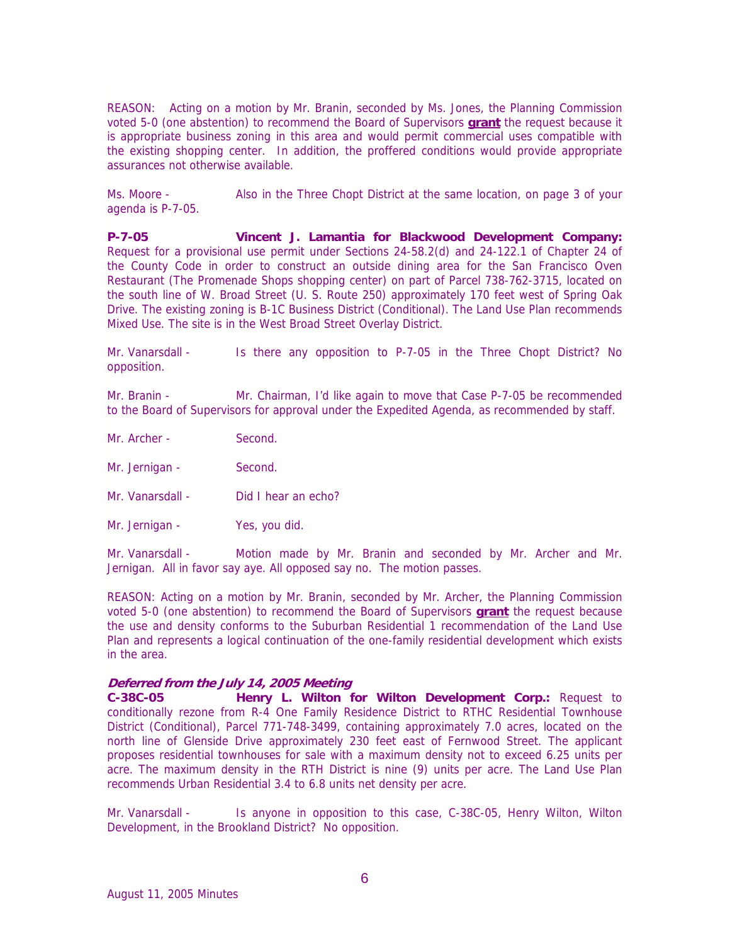REASON: Acting on a motion by Mr. Branin, seconded by Ms. Jones, the Planning Commission voted 5-0 (one abstention) to recommend the Board of Supervisors **grant** the request because it is appropriate business zoning in this area and would permit commercial uses compatible with the existing shopping center. In addition, the proffered conditions would provide appropriate assurances not otherwise available.

Ms. Moore - Also in the Three Chopt District at the same location, on page 3 of your agenda is P-7-05.

**P-7-05 Vincent J. Lamantia for Blackwood Development Company:** Request for a provisional use permit under Sections 24-58.2(d) and 24-122.1 of Chapter 24 of the County Code in order to construct an outside dining area for the San Francisco Oven Restaurant (The Promenade Shops shopping center) on part of Parcel 738-762-3715, located on the south line of W. Broad Street (U. S. Route 250) approximately 170 feet west of Spring Oak Drive. The existing zoning is B-1C Business District (Conditional). The Land Use Plan recommends Mixed Use. The site is in the West Broad Street Overlay District.

Mr. Vanarsdall - Is there any opposition to P-7-05 in the Three Chopt District? No opposition.

Mr. Branin - Mr. Chairman, I'd like again to move that Case P-7-05 be recommended to the Board of Supervisors for approval under the Expedited Agenda, as recommended by staff.

- Mr. Archer Second.
- Mr. Jernigan Second.
- Mr. Vanarsdall Did I hear an echo?
- Mr. Jernigan Yes, you did.

Mr. Vanarsdall - Motion made by Mr. Branin and seconded by Mr. Archer and Mr. Jernigan. All in favor say aye. All opposed say no. The motion passes.

REASON: Acting on a motion by Mr. Branin, seconded by Mr. Archer, the Planning Commission voted 5-0 (one abstention) to recommend the Board of Supervisors **grant** the request because the use and density conforms to the Suburban Residential 1 recommendation of the Land Use Plan and represents a logical continuation of the one-family residential development which exists in the area.

### **Deferred from the July 14, 2005 Meeting**

**C-38C-05 Henry L. Wilton for Wilton Development Corp.:** Request to conditionally rezone from R-4 One Family Residence District to RTHC Residential Townhouse District (Conditional), Parcel 771-748-3499, containing approximately 7.0 acres, located on the north line of Glenside Drive approximately 230 feet east of Fernwood Street. The applicant proposes residential townhouses for sale with a maximum density not to exceed 6.25 units per acre. The maximum density in the RTH District is nine (9) units per acre. The Land Use Plan recommends Urban Residential 3.4 to 6.8 units net density per acre.

Mr. Vanarsdall - Is anyone in opposition to this case, C-38C-05, Henry Wilton, Wilton Development, in the Brookland District? No opposition.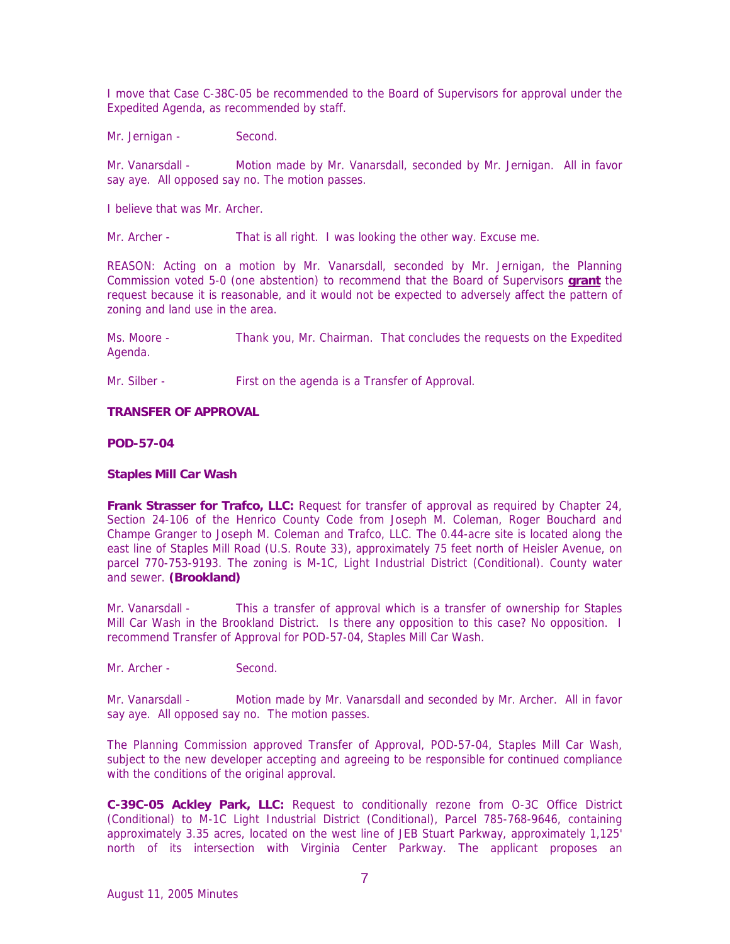I move that Case C-38C-05 be recommended to the Board of Supervisors for approval under the Expedited Agenda, as recommended by staff.

Mr. Jernigan - Second.

Mr. Vanarsdall - Motion made by Mr. Vanarsdall, seconded by Mr. Jernigan. All in favor say aye. All opposed say no. The motion passes.

I believe that was Mr. Archer.

Mr. Archer - That is all right. I was looking the other way. Excuse me.

REASON: Acting on a motion by Mr. Vanarsdall, seconded by Mr. Jernigan, the Planning Commission voted 5-0 (one abstention) to recommend that the Board of Supervisors **grant** the request because it is reasonable, and it would not be expected to adversely affect the pattern of zoning and land use in the area.

Ms. Moore - Thank you, Mr. Chairman. That concludes the requests on the Expedited Agenda.

Mr. Silber - First on the agenda is a Transfer of Approval.

### **TRANSFER OF APPROVAL**

**POD-57-04** 

### **Staples Mill Car Wash**

Frank Strasser for Trafco, LLC: Request for transfer of approval as required by Chapter 24, Section 24-106 of the Henrico County Code from Joseph M. Coleman, Roger Bouchard and Champe Granger to Joseph M. Coleman and Trafco, LLC. The 0.44-acre site is located along the east line of Staples Mill Road (U.S. Route 33), approximately 75 feet north of Heisler Avenue, on parcel 770-753-9193. The zoning is M-1C, Light Industrial District (Conditional). County water and sewer. **(Brookland)** 

Mr. Vanarsdall - This a transfer of approval which is a transfer of ownership for Staples Mill Car Wash in the Brookland District. Is there any opposition to this case? No opposition. I recommend Transfer of Approval for POD-57-04, Staples Mill Car Wash.

Mr. Archer - Second.

Mr. Vanarsdall - Motion made by Mr. Vanarsdall and seconded by Mr. Archer. All in favor say aye. All opposed say no. The motion passes.

The Planning Commission approved Transfer of Approval, POD-57-04, Staples Mill Car Wash, subject to the new developer accepting and agreeing to be responsible for continued compliance with the conditions of the original approval.

**C-39C-05 Ackley Park, LLC:** Request to conditionally rezone from O-3C Office District (Conditional) to M-1C Light Industrial District (Conditional), Parcel 785-768-9646, containing approximately 3.35 acres, located on the west line of JEB Stuart Parkway, approximately 1,125' north of its intersection with Virginia Center Parkway. The applicant proposes an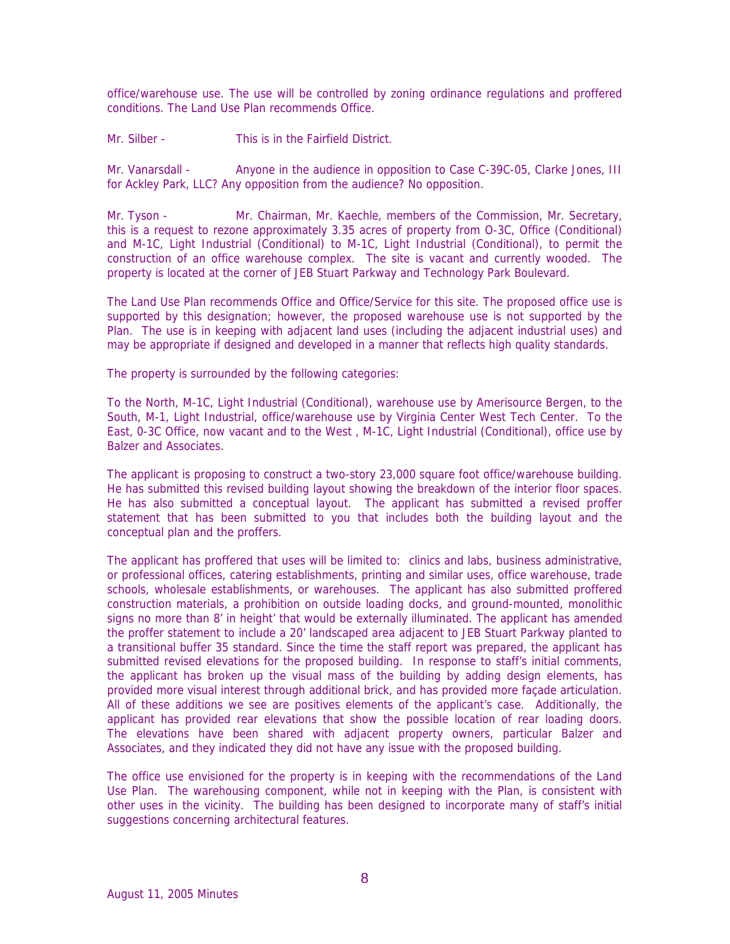office/warehouse use. The use will be controlled by zoning ordinance regulations and proffered conditions. The Land Use Plan recommends Office.

Mr. Silber - This is in the Fairfield District.

Mr. Vanarsdall - Anyone in the audience in opposition to Case C-39C-05, Clarke Jones, III for Ackley Park, LLC? Any opposition from the audience? No opposition.

Mr. Tyson - Mr. Chairman, Mr. Kaechle, members of the Commission, Mr. Secretary, this is a request to rezone approximately 3.35 acres of property from O-3C, Office (Conditional) and M-1C, Light Industrial (Conditional) to M-1C, Light Industrial (Conditional), to permit the construction of an office warehouse complex. The site is vacant and currently wooded. The property is located at the corner of JEB Stuart Parkway and Technology Park Boulevard.

The Land Use Plan recommends Office and Office/Service for this site. The proposed office use is supported by this designation; however, the proposed warehouse use is not supported by the Plan. The use is in keeping with adjacent land uses (including the adjacent industrial uses) and may be appropriate if designed and developed in a manner that reflects high quality standards.

The property is surrounded by the following categories:

To the North, M-1C, Light Industrial (Conditional), warehouse use by Amerisource Bergen, to the South, M-1, Light Industrial, office/warehouse use by Virginia Center West Tech Center. To the East, 0-3C Office, now vacant and to the West , M-1C, Light Industrial (Conditional), office use by Balzer and Associates.

The applicant is proposing to construct a two-story 23,000 square foot office/warehouse building. He has submitted this revised building layout showing the breakdown of the interior floor spaces. He has also submitted a conceptual layout. The applicant has submitted a revised proffer statement that has been submitted to you that includes both the building layout and the conceptual plan and the proffers.

The applicant has proffered that uses will be limited to: clinics and labs, business administrative, or professional offices, catering establishments, printing and similar uses, office warehouse, trade schools, wholesale establishments, or warehouses. The applicant has also submitted proffered construction materials, a prohibition on outside loading docks, and ground-mounted, monolithic signs no more than 8' in height' that would be externally illuminated. The applicant has amended the proffer statement to include a 20' landscaped area adjacent to JEB Stuart Parkway planted to a transitional buffer 35 standard. Since the time the staff report was prepared, the applicant has submitted revised elevations for the proposed building. In response to staff's initial comments, the applicant has broken up the visual mass of the building by adding design elements, has provided more visual interest through additional brick, and has provided more façade articulation. All of these additions we see are positives elements of the applicant's case. Additionally, the applicant has provided rear elevations that show the possible location of rear loading doors. The elevations have been shared with adjacent property owners, particular Balzer and Associates, and they indicated they did not have any issue with the proposed building.

The office use envisioned for the property is in keeping with the recommendations of the Land Use Plan. The warehousing component, while not in keeping with the Plan, is consistent with other uses in the vicinity. The building has been designed to incorporate many of staff's initial suggestions concerning architectural features.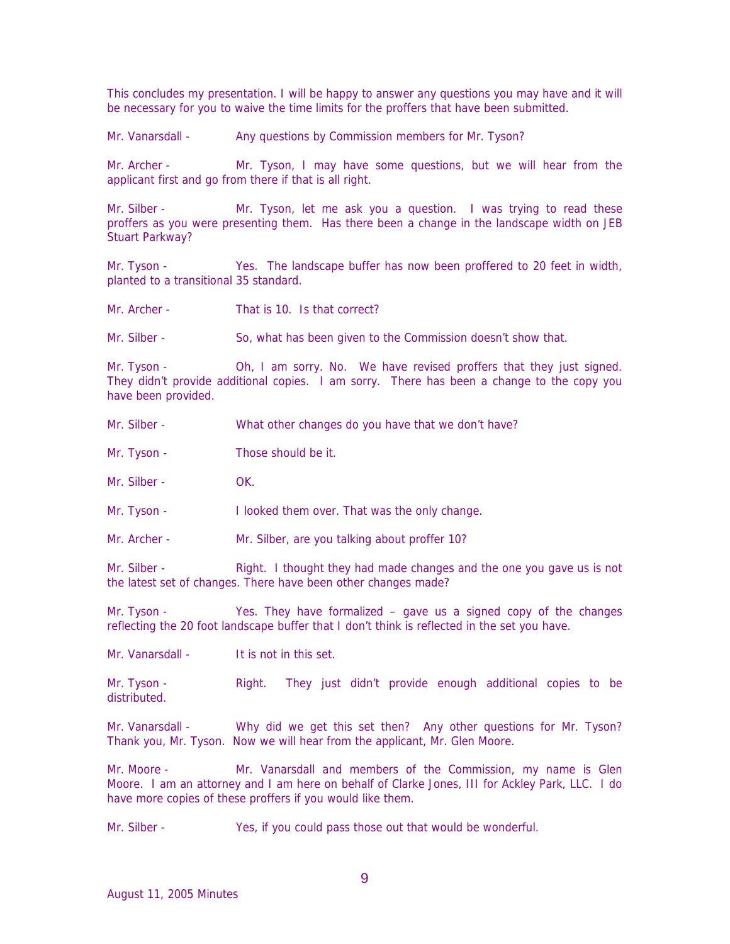This concludes my presentation. I will be happy to answer any questions you may have and it will be necessary for you to waive the time limits for the proffers that have been submitted.

Mr. Vanarsdall - Any questions by Commission members for Mr. Tyson?

Mr. Archer - Mr. Tyson, I may have some questions, but we will hear from the applicant first and go from there if that is all right.

Mr. Silber - Mr. Tyson, let me ask you a question. I was trying to read these proffers as you were presenting them. Has there been a change in the landscape width on JEB Stuart Parkway?

Mr. Tyson - Yes. The landscape buffer has now been proffered to 20 feet in width, planted to a transitional 35 standard.

Mr. Archer - That is 10. Is that correct?

Mr. Silber - So, what has been given to the Commission doesn't show that.

Mr. Tyson - Oh, I am sorry. No. We have revised proffers that they just signed. They didn't provide additional copies. I am sorry. There has been a change to the copy you have been provided.

- Mr. Silber What other changes do you have that we don't have?
- Mr. Tyson Those should be it.

Mr. Silber - OK.

Mr. Tyson - I looked them over. That was the only change.

Mr. Archer - Mr. Silber, are you talking about proffer 10?

Mr. Silber - Right. I thought they had made changes and the one you gave us is not the latest set of changes. There have been other changes made?

Mr. Tyson - Yes. They have formalized – gave us a signed copy of the changes reflecting the 20 foot landscape buffer that I don't think is reflected in the set you have.

Mr. Vanarsdall - It is not in this set.

Mr. Tyson - Right. They just didn't provide enough additional copies to be distributed.

Mr. Vanarsdall - Why did we get this set then? Any other questions for Mr. Tyson? Thank you, Mr. Tyson. Now we will hear from the applicant, Mr. Glen Moore.

Mr. Moore - Mr. Vanarsdall and members of the Commission, my name is Glen Moore. I am an attorney and I am here on behalf of Clarke Jones, III for Ackley Park, LLC. I do have more copies of these proffers if you would like them.

Mr. Silber - Yes, if you could pass those out that would be wonderful.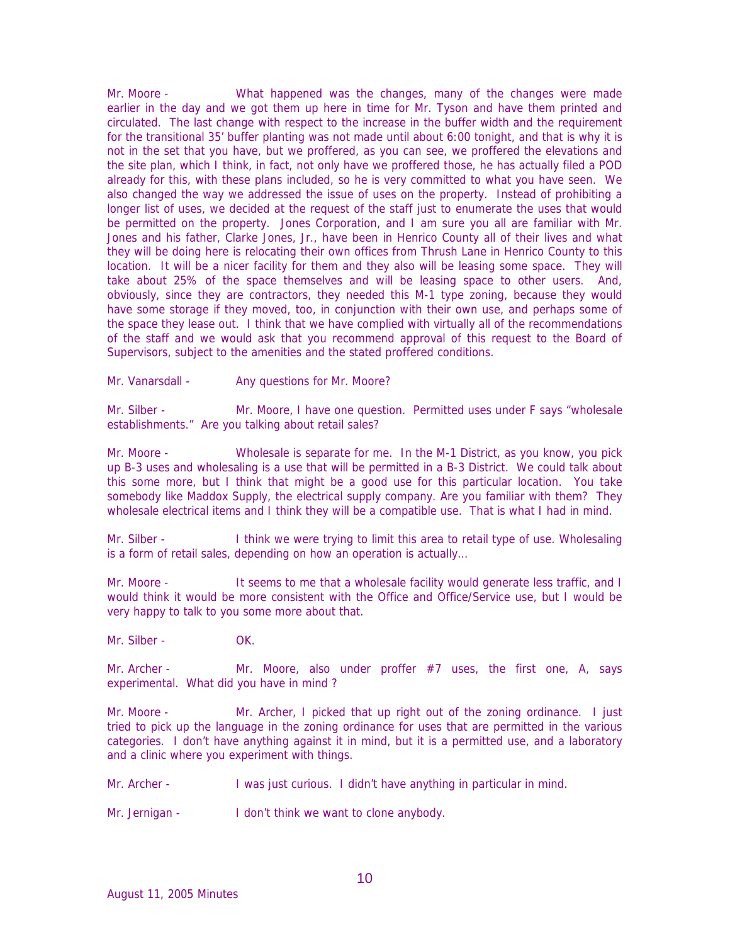Mr. Moore - What happened was the changes, many of the changes were made earlier in the day and we got them up here in time for Mr. Tyson and have them printed and circulated. The last change with respect to the increase in the buffer width and the requirement for the transitional 35' buffer planting was not made until about 6:00 tonight, and that is why it is not in the set that you have, but we proffered, as you can see, we proffered the elevations and the site plan, which I think, in fact, not only have we proffered those, he has actually filed a POD already for this, with these plans included, so he is very committed to what you have seen. We also changed the way we addressed the issue of uses on the property. Instead of prohibiting a longer list of uses, we decided at the request of the staff just to enumerate the uses that would be permitted on the property. Jones Corporation, and I am sure you all are familiar with Mr. Jones and his father, Clarke Jones, Jr., have been in Henrico County all of their lives and what they will be doing here is relocating their own offices from Thrush Lane in Henrico County to this location. It will be a nicer facility for them and they also will be leasing some space. They will take about 25% of the space themselves and will be leasing space to other users. And, obviously, since they are contractors, they needed this M-1 type zoning, because they would have some storage if they moved, too, in conjunction with their own use, and perhaps some of the space they lease out. I think that we have complied with virtually all of the recommendations of the staff and we would ask that you recommend approval of this request to the Board of Supervisors, subject to the amenities and the stated proffered conditions.

Mr. Vanarsdall - Any questions for Mr. Moore?

Mr. Silber - Mr. Moore, I have one question. Permitted uses under F says "wholesale" establishments." Are you talking about retail sales?

Mr. Moore - Wholesale is separate for me. In the M-1 District, as you know, you pick up B-3 uses and wholesaling is a use that will be permitted in a B-3 District. We could talk about this some more, but I think that might be a good use for this particular location. You take somebody like Maddox Supply, the electrical supply company. Are you familiar with them? They wholesale electrical items and I think they will be a compatible use. That is what I had in mind.

Mr. Silber - I think we were trying to limit this area to retail type of use. Wholesaling is a form of retail sales, depending on how an operation is actually…

Mr. Moore - It seems to me that a wholesale facility would generate less traffic, and I would think it would be more consistent with the Office and Office/Service use, but I would be very happy to talk to you some more about that.

Mr. Silber - OK.

Mr. Archer - Mr. Moore, also under proffer  $#7$  uses, the first one, A, says experimental. What did you have in mind ?

Mr. Moore - Mr. Archer, I picked that up right out of the zoning ordinance. I just tried to pick up the language in the zoning ordinance for uses that are permitted in the various categories. I don't have anything against it in mind, but it is a permitted use, and a laboratory and a clinic where you experiment with things.

Mr. Archer - I was just curious. I didn't have anything in particular in mind.

Mr. Jernigan - I don't think we want to clone anybody.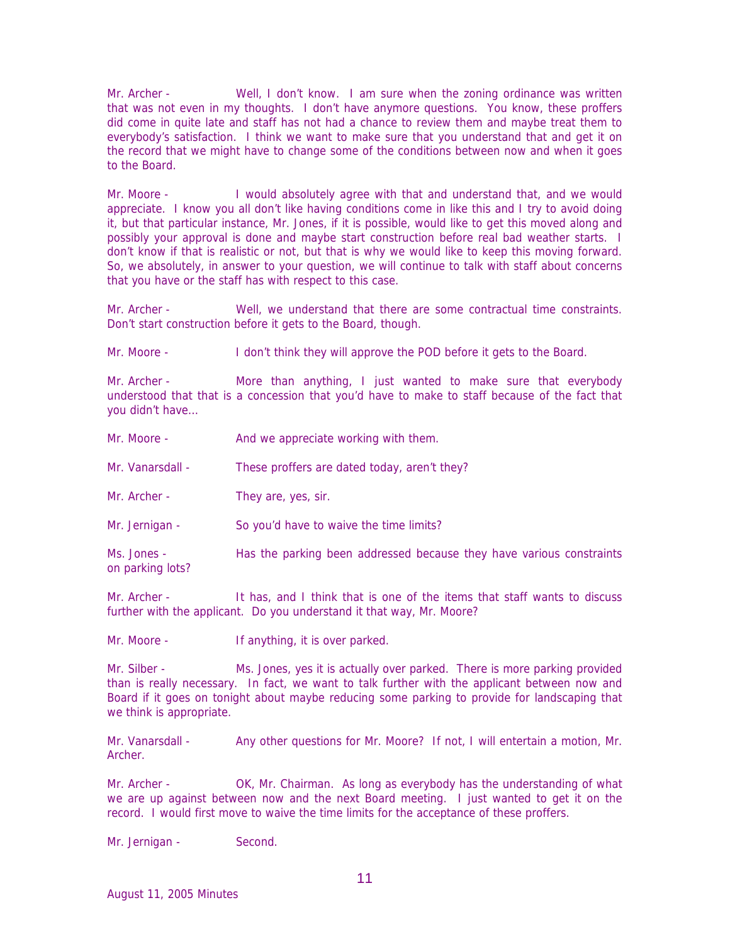Mr. Archer - Well, I don't know. I am sure when the zoning ordinance was written that was not even in my thoughts. I don't have anymore questions. You know, these proffers did come in quite late and staff has not had a chance to review them and maybe treat them to everybody's satisfaction. I think we want to make sure that you understand that and get it on the record that we might have to change some of the conditions between now and when it goes to the Board.

Mr. Moore - I would absolutely agree with that and understand that, and we would appreciate. I know you all don't like having conditions come in like this and I try to avoid doing it, but that particular instance, Mr. Jones, if it is possible, would like to get this moved along and possibly your approval is done and maybe start construction before real bad weather starts. I don't know if that is realistic or not, but that is why we would like to keep this moving forward. So, we absolutely, in answer to your question, we will continue to talk with staff about concerns that you have or the staff has with respect to this case.

Mr. Archer - Well, we understand that there are some contractual time constraints. Don't start construction before it gets to the Board, though.

Mr. Moore - I don't think they will approve the POD before it gets to the Board.

Mr. Archer - More than anything, I just wanted to make sure that everybody understood that that is a concession that you'd have to make to staff because of the fact that you didn't have…

- Mr. Moore **And we appreciate working with them.**
- Mr. Vanarsdall These proffers are dated today, aren't they?
- Mr. Archer They are, yes, sir.
- Mr. Jernigan So you'd have to waive the time limits?

Ms. Jones - Has the parking been addressed because they have various constraints on parking lots?

Mr. Archer - It has, and I think that is one of the items that staff wants to discuss further with the applicant. Do you understand it that way, Mr. Moore?

Mr. Moore - If anything, it is over parked.

Mr. Silber - Ms. Jones, yes it is actually over parked. There is more parking provided than is really necessary. In fact, we want to talk further with the applicant between now and Board if it goes on tonight about maybe reducing some parking to provide for landscaping that we think is appropriate.

Mr. Vanarsdall - Any other questions for Mr. Moore? If not, I will entertain a motion, Mr. Archer.

Mr. Archer - OK, Mr. Chairman. As long as everybody has the understanding of what we are up against between now and the next Board meeting. I just wanted to get it on the record. I would first move to waive the time limits for the acceptance of these proffers.

Mr. Jernigan - Second.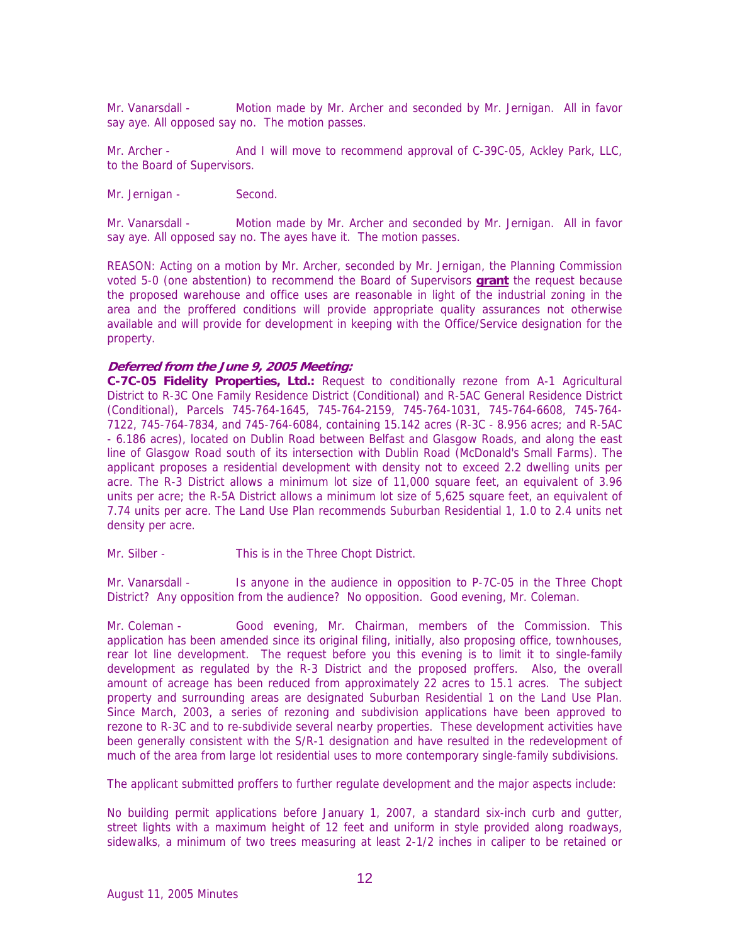Mr. Vanarsdall - Motion made by Mr. Archer and seconded by Mr. Jernigan. All in favor say aye. All opposed say no. The motion passes.

Mr. Archer - And I will move to recommend approval of C-39C-05, Ackley Park, LLC, to the Board of Supervisors.

Mr. Jernigan - Second.

Mr. Vanarsdall - Motion made by Mr. Archer and seconded by Mr. Jernigan. All in favor say aye. All opposed say no. The ayes have it. The motion passes.

REASON: Acting on a motion by Mr. Archer, seconded by Mr. Jernigan, the Planning Commission voted 5-0 (one abstention) to recommend the Board of Supervisors **grant** the request because the proposed warehouse and office uses are reasonable in light of the industrial zoning in the area and the proffered conditions will provide appropriate quality assurances not otherwise available and will provide for development in keeping with the Office/Service designation for the property.

## **Deferred from the June 9, 2005 Meeting:**

**C-7C-05 Fidelity Properties, Ltd.:** Request to conditionally rezone from A-1 Agricultural District to R-3C One Family Residence District (Conditional) and R-5AC General Residence District (Conditional), Parcels 745-764-1645, 745-764-2159, 745-764-1031, 745-764-6608, 745-764- 7122, 745-764-7834, and 745-764-6084, containing 15.142 acres (R-3C - 8.956 acres; and R-5AC - 6.186 acres), located on Dublin Road between Belfast and Glasgow Roads, and along the east line of Glasgow Road south of its intersection with Dublin Road (McDonald's Small Farms). The applicant proposes a residential development with density not to exceed 2.2 dwelling units per acre. The R-3 District allows a minimum lot size of 11,000 square feet, an equivalent of 3.96 units per acre; the R-5A District allows a minimum lot size of 5,625 square feet, an equivalent of 7.74 units per acre. The Land Use Plan recommends Suburban Residential 1, 1.0 to 2.4 units net density per acre.

Mr. Silber - This is in the Three Chopt District.

Mr. Vanarsdall - Is anyone in the audience in opposition to P-7C-05 in the Three Chopt District? Any opposition from the audience? No opposition. Good evening, Mr. Coleman.

Mr. Coleman - Good evening, Mr. Chairman, members of the Commission. This application has been amended since its original filing, initially, also proposing office, townhouses, rear lot line development. The request before you this evening is to limit it to single-family development as regulated by the R-3 District and the proposed proffers. Also, the overall amount of acreage has been reduced from approximately 22 acres to 15.1 acres. The subject property and surrounding areas are designated Suburban Residential 1 on the Land Use Plan. Since March, 2003, a series of rezoning and subdivision applications have been approved to rezone to R-3C and to re-subdivide several nearby properties. These development activities have been generally consistent with the S/R-1 designation and have resulted in the redevelopment of much of the area from large lot residential uses to more contemporary single-family subdivisions.

The applicant submitted proffers to further regulate development and the major aspects include:

No building permit applications before January 1, 2007, a standard six-inch curb and gutter, street lights with a maximum height of 12 feet and uniform in style provided along roadways, sidewalks, a minimum of two trees measuring at least 2-1/2 inches in caliper to be retained or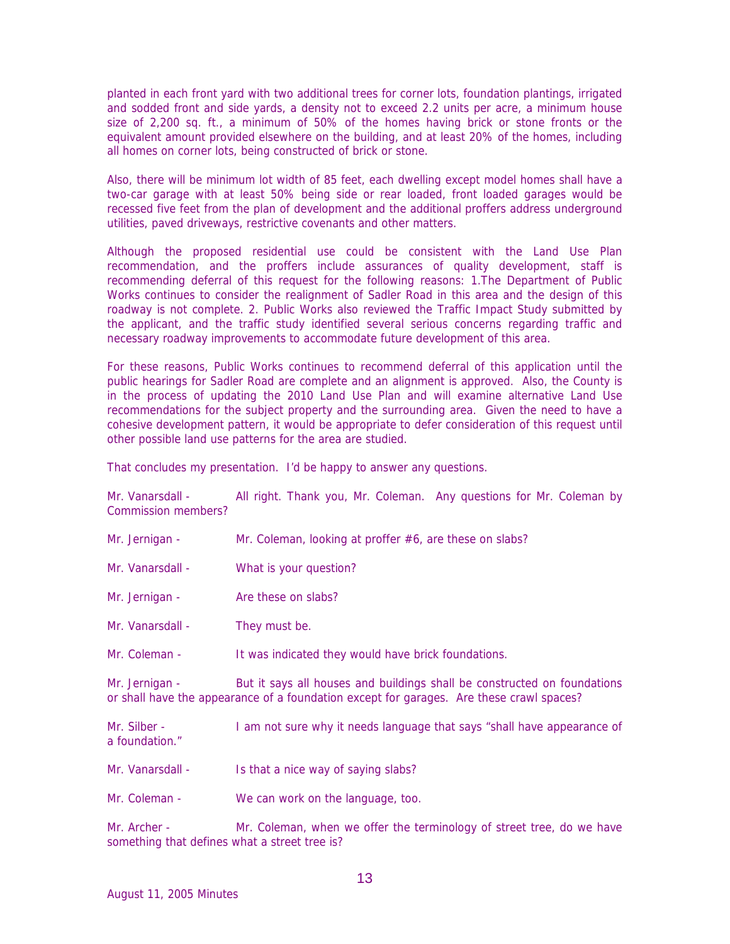planted in each front yard with two additional trees for corner lots, foundation plantings, irrigated and sodded front and side yards, a density not to exceed 2.2 units per acre, a minimum house size of 2,200 sq. ft., a minimum of 50% of the homes having brick or stone fronts or the equivalent amount provided elsewhere on the building, and at least 20% of the homes, including all homes on corner lots, being constructed of brick or stone.

Also, there will be minimum lot width of 85 feet, each dwelling except model homes shall have a two-car garage with at least 50% being side or rear loaded, front loaded garages would be recessed five feet from the plan of development and the additional proffers address underground utilities, paved driveways, restrictive covenants and other matters.

Although the proposed residential use could be consistent with the Land Use Plan recommendation, and the proffers include assurances of quality development, staff is recommending deferral of this request for the following reasons: 1.The Department of Public Works continues to consider the realignment of Sadler Road in this area and the design of this roadway is not complete. 2. Public Works also reviewed the Traffic Impact Study submitted by the applicant, and the traffic study identified several serious concerns regarding traffic and necessary roadway improvements to accommodate future development of this area.

For these reasons, Public Works continues to recommend deferral of this application until the public hearings for Sadler Road are complete and an alignment is approved. Also, the County is in the process of updating the 2010 Land Use Plan and will examine alternative Land Use recommendations for the subject property and the surrounding area. Given the need to have a cohesive development pattern, it would be appropriate to defer consideration of this request until other possible land use patterns for the area are studied.

That concludes my presentation. I'd be happy to answer any questions.

Mr. Vanarsdall - All right. Thank you, Mr. Coleman. Any questions for Mr. Coleman by Commission members?

- Mr. Jernigan Mr. Coleman, looking at proffer #6, are these on slabs?
- Mr. Vanarsdall What is your question?
- Mr. Jernigan Are these on slabs?
- Mr. Vanarsdall They must be.
- Mr. Coleman It was indicated they would have brick foundations.

Mr. Jernigan - But it says all houses and buildings shall be constructed on foundations or shall have the appearance of a foundation except for garages. Are these crawl spaces?

Mr. Silber - I am not sure why it needs language that says "shall have appearance of a foundation."

- Mr. Vanarsdall Is that a nice way of saying slabs?
- Mr. Coleman We can work on the language, too.

Mr. Archer - Mr. Coleman, when we offer the terminology of street tree, do we have something that defines what a street tree is?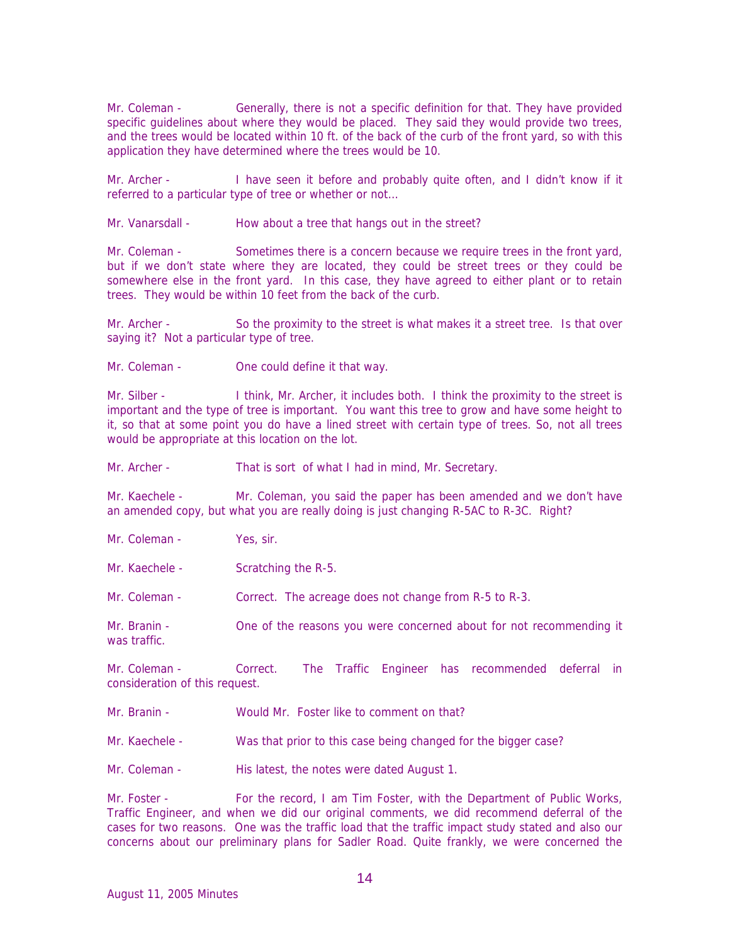Mr. Coleman - Generally, there is not a specific definition for that. They have provided specific guidelines about where they would be placed. They said they would provide two trees, and the trees would be located within 10 ft. of the back of the curb of the front yard, so with this application they have determined where the trees would be 10.

Mr. Archer - I have seen it before and probably quite often, and I didn't know if it referred to a particular type of tree or whether or not…

Mr. Vanarsdall - How about a tree that hangs out in the street?

Mr. Coleman - Sometimes there is a concern because we require trees in the front yard, but if we don't state where they are located, they could be street trees or they could be somewhere else in the front yard. In this case, they have agreed to either plant or to retain trees. They would be within 10 feet from the back of the curb.

Mr. Archer - So the proximity to the street is what makes it a street tree. Is that over saying it? Not a particular type of tree.

Mr. Coleman - One could define it that way.

Mr. Silber - I think, Mr. Archer, it includes both. I think the proximity to the street is important and the type of tree is important. You want this tree to grow and have some height to it, so that at some point you do have a lined street with certain type of trees. So, not all trees would be appropriate at this location on the lot.

Mr. Archer - That is sort of what I had in mind, Mr. Secretary.

Mr. Kaechele - Mr. Coleman, you said the paper has been amended and we don't have an amended copy, but what you are really doing is just changing R-5AC to R-3C. Right?

- Mr. Coleman Yes, sir.
- Mr. Kaechele Scratching the R-5.

Mr. Coleman - Correct. The acreage does not change from R-5 to R-3.

Mr. Branin - One of the reasons you were concerned about for not recommending it was traffic.

Mr. Coleman - Correct. The Traffic Engineer has recommended deferral in consideration of this request.

- Mr. Branin Would Mr. Foster like to comment on that?
- Mr. Kaechele Was that prior to this case being changed for the bigger case?

Mr. Coleman - His latest, the notes were dated August 1.

Mr. Foster - For the record, I am Tim Foster, with the Department of Public Works, Traffic Engineer, and when we did our original comments, we did recommend deferral of the cases for two reasons. One was the traffic load that the traffic impact study stated and also our concerns about our preliminary plans for Sadler Road. Quite frankly, we were concerned the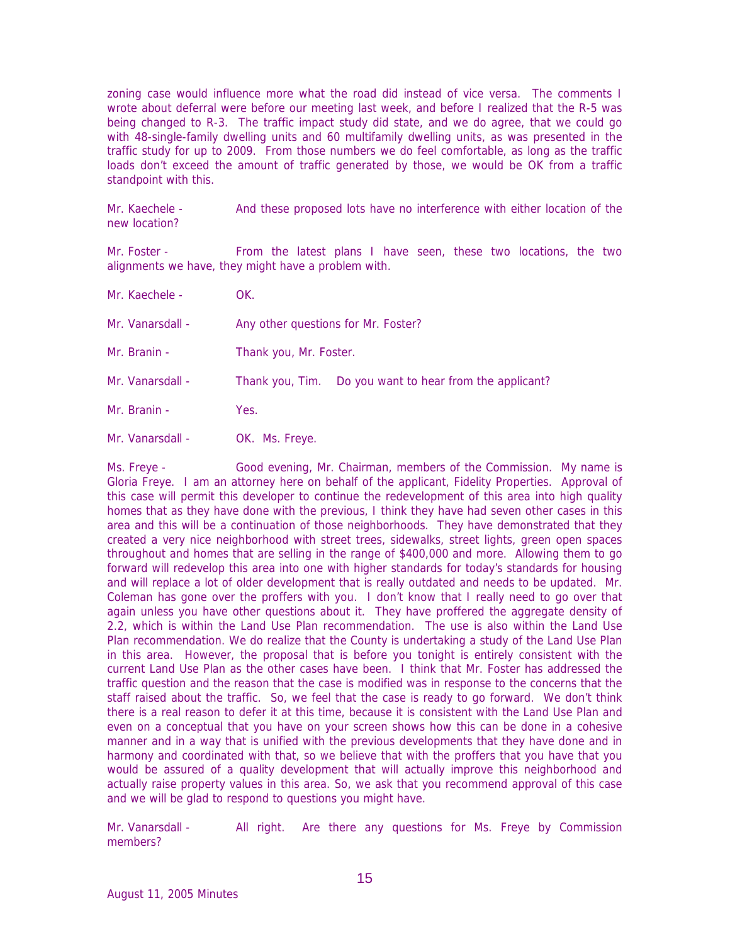zoning case would influence more what the road did instead of vice versa. The comments I wrote about deferral were before our meeting last week, and before I realized that the R-5 was being changed to R-3. The traffic impact study did state, and we do agree, that we could go with 48-single-family dwelling units and 60 multifamily dwelling units, as was presented in the traffic study for up to 2009. From those numbers we do feel comfortable, as long as the traffic loads don't exceed the amount of traffic generated by those, we would be OK from a traffic standpoint with this.

Mr. Kaechele - And these proposed lots have no interference with either location of the new location?

Mr. Foster - From the latest plans I have seen, these two locations, the two alignments we have, they might have a problem with.

- Mr. Kaechele OK.
- Mr. Vanarsdall Any other questions for Mr. Foster?
- Mr. Branin Thank you, Mr. Foster.
- Mr. Vanarsdall Thank you, Tim. Do you want to hear from the applicant?
- Mr. Branin Yes.
- Mr. Vanarsdall OK. Ms. Freye.

Ms. Freye - Good evening, Mr. Chairman, members of the Commission. My name is Gloria Freye. I am an attorney here on behalf of the applicant, Fidelity Properties. Approval of this case will permit this developer to continue the redevelopment of this area into high quality homes that as they have done with the previous, I think they have had seven other cases in this area and this will be a continuation of those neighborhoods. They have demonstrated that they created a very nice neighborhood with street trees, sidewalks, street lights, green open spaces throughout and homes that are selling in the range of \$400,000 and more. Allowing them to go forward will redevelop this area into one with higher standards for today's standards for housing and will replace a lot of older development that is really outdated and needs to be updated. Mr. Coleman has gone over the proffers with you. I don't know that I really need to go over that again unless you have other questions about it. They have proffered the aggregate density of 2.2, which is within the Land Use Plan recommendation. The use is also within the Land Use Plan recommendation. We do realize that the County is undertaking a study of the Land Use Plan in this area. However, the proposal that is before you tonight is entirely consistent with the current Land Use Plan as the other cases have been. I think that Mr. Foster has addressed the traffic question and the reason that the case is modified was in response to the concerns that the staff raised about the traffic. So, we feel that the case is ready to go forward. We don't think there is a real reason to defer it at this time, because it is consistent with the Land Use Plan and even on a conceptual that you have on your screen shows how this can be done in a cohesive manner and in a way that is unified with the previous developments that they have done and in harmony and coordinated with that, so we believe that with the proffers that you have that you would be assured of a quality development that will actually improve this neighborhood and actually raise property values in this area. So, we ask that you recommend approval of this case and we will be glad to respond to questions you might have.

Mr. Vanarsdall - All right. Are there any questions for Ms. Freye by Commission members?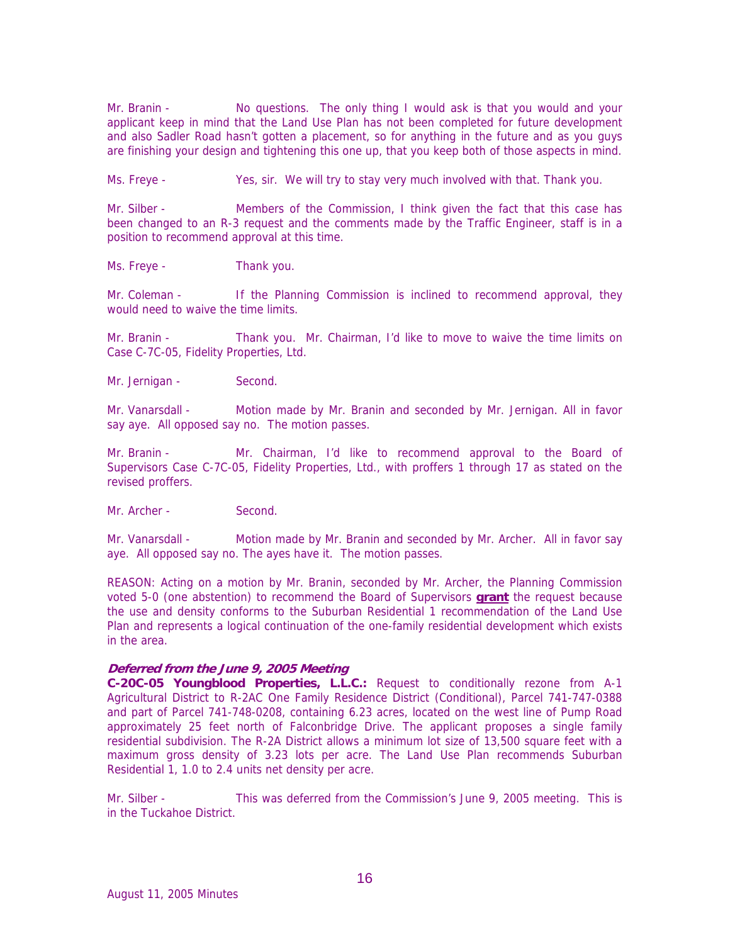Mr. Branin - No questions. The only thing I would ask is that you would and your applicant keep in mind that the Land Use Plan has not been completed for future development and also Sadler Road hasn't gotten a placement, so for anything in the future and as you guys are finishing your design and tightening this one up, that you keep both of those aspects in mind.

Ms. Freye - Yes, sir. We will try to stay very much involved with that. Thank you.

Mr. Silber - Members of the Commission, I think given the fact that this case has been changed to an R-3 request and the comments made by the Traffic Engineer, staff is in a position to recommend approval at this time.

Ms. Freye - Thank you.

Mr. Coleman - If the Planning Commission is inclined to recommend approval, they would need to waive the time limits.

Mr. Branin - Thank you. Mr. Chairman, I'd like to move to waive the time limits on Case C-7C-05, Fidelity Properties, Ltd.

Mr. Jernigan - Second.

Mr. Vanarsdall - Motion made by Mr. Branin and seconded by Mr. Jernigan. All in favor say aye. All opposed say no. The motion passes.

Mr. Branin - Mr. Chairman, I'd like to recommend approval to the Board of Supervisors Case C-7C-05, Fidelity Properties, Ltd., with proffers 1 through 17 as stated on the revised proffers.

Mr. Archer - Second.

Mr. Vanarsdall - Motion made by Mr. Branin and seconded by Mr. Archer. All in favor say aye. All opposed say no. The ayes have it. The motion passes.

REASON: Acting on a motion by Mr. Branin, seconded by Mr. Archer, the Planning Commission voted 5-0 (one abstention) to recommend the Board of Supervisors **grant** the request because the use and density conforms to the Suburban Residential 1 recommendation of the Land Use Plan and represents a logical continuation of the one-family residential development which exists in the area.

### **Deferred from the June 9, 2005 Meeting**

**C-20C-05 Youngblood Properties, L.L.C.:** Request to conditionally rezone from A-1 Agricultural District to R-2AC One Family Residence District (Conditional), Parcel 741-747-0388 and part of Parcel 741-748-0208, containing 6.23 acres, located on the west line of Pump Road approximately 25 feet north of Falconbridge Drive. The applicant proposes a single family residential subdivision. The R-2A District allows a minimum lot size of 13,500 square feet with a maximum gross density of 3.23 lots per acre. The Land Use Plan recommends Suburban Residential 1, 1.0 to 2.4 units net density per acre.

Mr. Silber - This was deferred from the Commission's June 9, 2005 meeting. This is in the Tuckahoe District.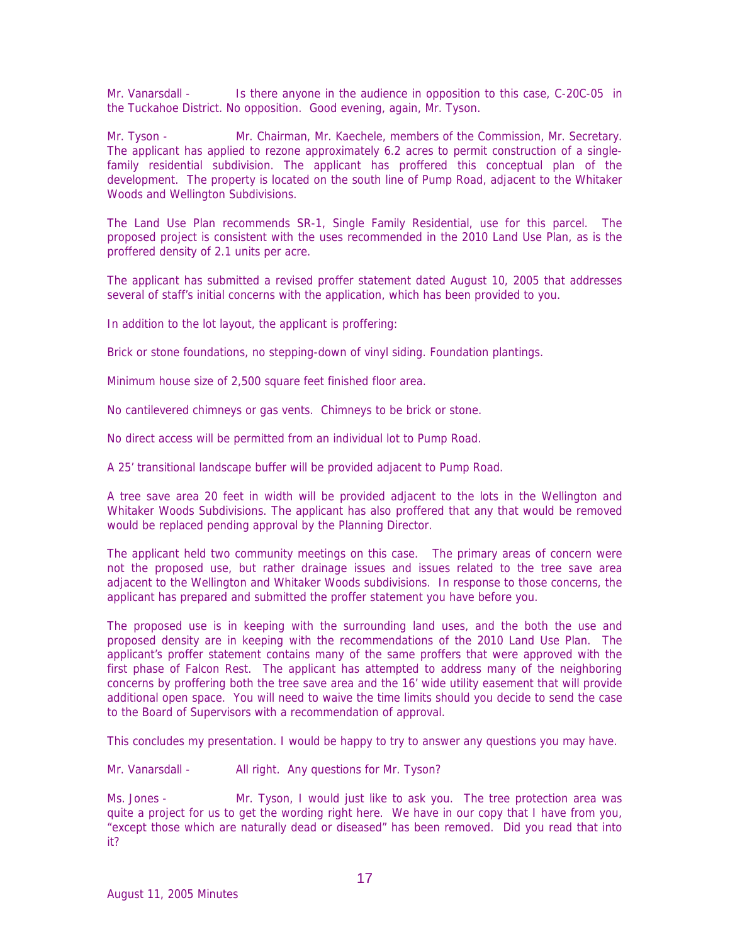Mr. Vanarsdall - Is there anyone in the audience in opposition to this case, C-20C-05 in the Tuckahoe District. No opposition. Good evening, again, Mr. Tyson.

Mr. Tyson - Mr. Chairman, Mr. Kaechele, members of the Commission, Mr. Secretary. The applicant has applied to rezone approximately 6.2 acres to permit construction of a singlefamily residential subdivision. The applicant has proffered this conceptual plan of the development. The property is located on the south line of Pump Road, adjacent to the Whitaker Woods and Wellington Subdivisions.

The Land Use Plan recommends SR-1, Single Family Residential, use for this parcel. The proposed project is consistent with the uses recommended in the 2010 Land Use Plan, as is the proffered density of 2.1 units per acre.

The applicant has submitted a revised proffer statement dated August 10, 2005 that addresses several of staff's initial concerns with the application, which has been provided to you.

In addition to the lot layout, the applicant is proffering:

Brick or stone foundations, no stepping-down of vinyl siding. Foundation plantings.

Minimum house size of 2,500 square feet finished floor area.

No cantilevered chimneys or gas vents. Chimneys to be brick or stone.

No direct access will be permitted from an individual lot to Pump Road.

A 25' transitional landscape buffer will be provided adjacent to Pump Road.

A tree save area 20 feet in width will be provided adjacent to the lots in the Wellington and Whitaker Woods Subdivisions. The applicant has also proffered that any that would be removed would be replaced pending approval by the Planning Director.

The applicant held two community meetings on this case. The primary areas of concern were not the proposed use, but rather drainage issues and issues related to the tree save area adjacent to the Wellington and Whitaker Woods subdivisions. In response to those concerns, the applicant has prepared and submitted the proffer statement you have before you.

The proposed use is in keeping with the surrounding land uses, and the both the use and proposed density are in keeping with the recommendations of the 2010 Land Use Plan. The applicant's proffer statement contains many of the same proffers that were approved with the first phase of Falcon Rest. The applicant has attempted to address many of the neighboring concerns by proffering both the tree save area and the 16' wide utility easement that will provide additional open space. You will need to waive the time limits should you decide to send the case to the Board of Supervisors with a recommendation of approval.

This concludes my presentation. I would be happy to try to answer any questions you may have.

Mr. Vanarsdall - All right. Any questions for Mr. Tyson?

Ms. Jones - Mr. Tyson, I would just like to ask you. The tree protection area was quite a project for us to get the wording right here. We have in our copy that I have from you, "except those which are naturally dead or diseased" has been removed. Did you read that into it?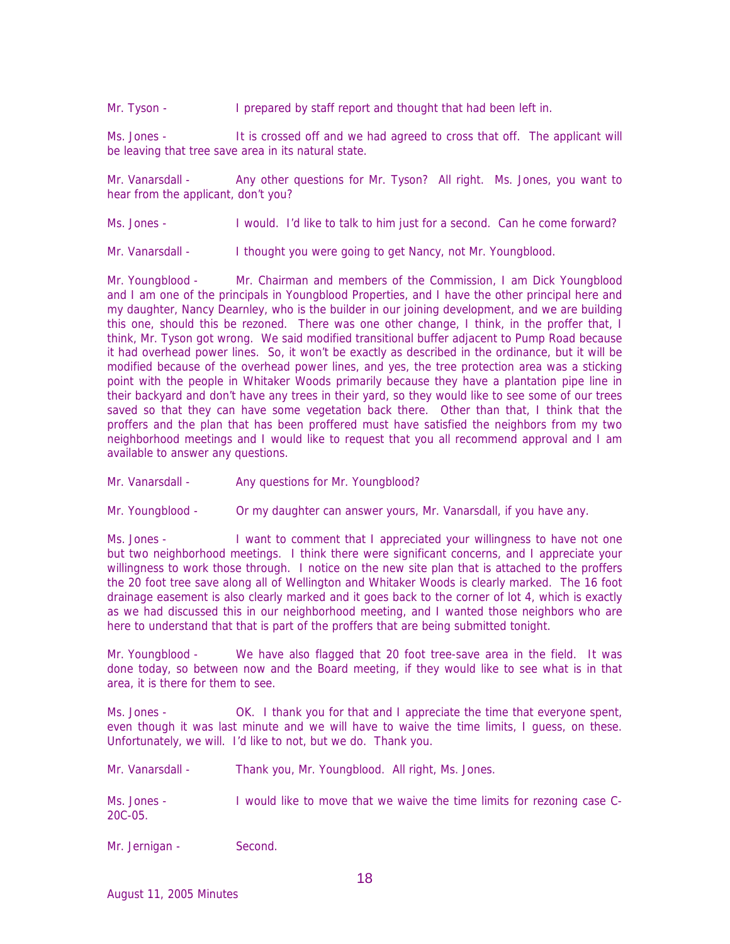Mr. Tyson - **I** prepared by staff report and thought that had been left in.

Ms. Jones - It is crossed off and we had agreed to cross that off. The applicant will be leaving that tree save area in its natural state.

Mr. Vanarsdall - Any other questions for Mr. Tyson? All right. Ms. Jones, you want to hear from the applicant, don't you?

Ms. Jones - I would. I'd like to talk to him just for a second. Can he come forward?

Mr. Vanarsdall - I thought you were going to get Nancy, not Mr. Youngblood.

Mr. Youngblood - Mr. Chairman and members of the Commission, I am Dick Youngblood and I am one of the principals in Youngblood Properties, and I have the other principal here and my daughter, Nancy Dearnley, who is the builder in our joining development, and we are building this one, should this be rezoned. There was one other change, I think, in the proffer that, I think, Mr. Tyson got wrong. We said modified transitional buffer adjacent to Pump Road because it had overhead power lines. So, it won't be exactly as described in the ordinance, but it will be modified because of the overhead power lines, and yes, the tree protection area was a sticking point with the people in Whitaker Woods primarily because they have a plantation pipe line in their backyard and don't have any trees in their yard, so they would like to see some of our trees saved so that they can have some vegetation back there. Other than that, I think that the proffers and the plan that has been proffered must have satisfied the neighbors from my two neighborhood meetings and I would like to request that you all recommend approval and I am available to answer any questions.

Mr. Vanarsdall - Any questions for Mr. Youngblood?

Mr. Youngblood - Or my daughter can answer yours, Mr. Vanarsdall, if you have any.

Ms. Jones - I want to comment that I appreciated your willingness to have not one but two neighborhood meetings. I think there were significant concerns, and I appreciate your willingness to work those through. I notice on the new site plan that is attached to the proffers the 20 foot tree save along all of Wellington and Whitaker Woods is clearly marked. The 16 foot drainage easement is also clearly marked and it goes back to the corner of lot 4, which is exactly as we had discussed this in our neighborhood meeting, and I wanted those neighbors who are here to understand that that is part of the proffers that are being submitted tonight.

Mr. Youngblood - We have also flagged that 20 foot tree-save area in the field. It was done today, so between now and the Board meeting, if they would like to see what is in that area, it is there for them to see.

Ms. Jones - OK. I thank you for that and I appreciate the time that everyone spent, even though it was last minute and we will have to waive the time limits, I guess, on these. Unfortunately, we will. I'd like to not, but we do. Thank you.

Mr. Vanarsdall - Thank you, Mr. Youngblood. All right, Ms. Jones.

Ms. Jones - I would like to move that we waive the time limits for rezoning case C-20C-05.

Mr. Jernigan - Second.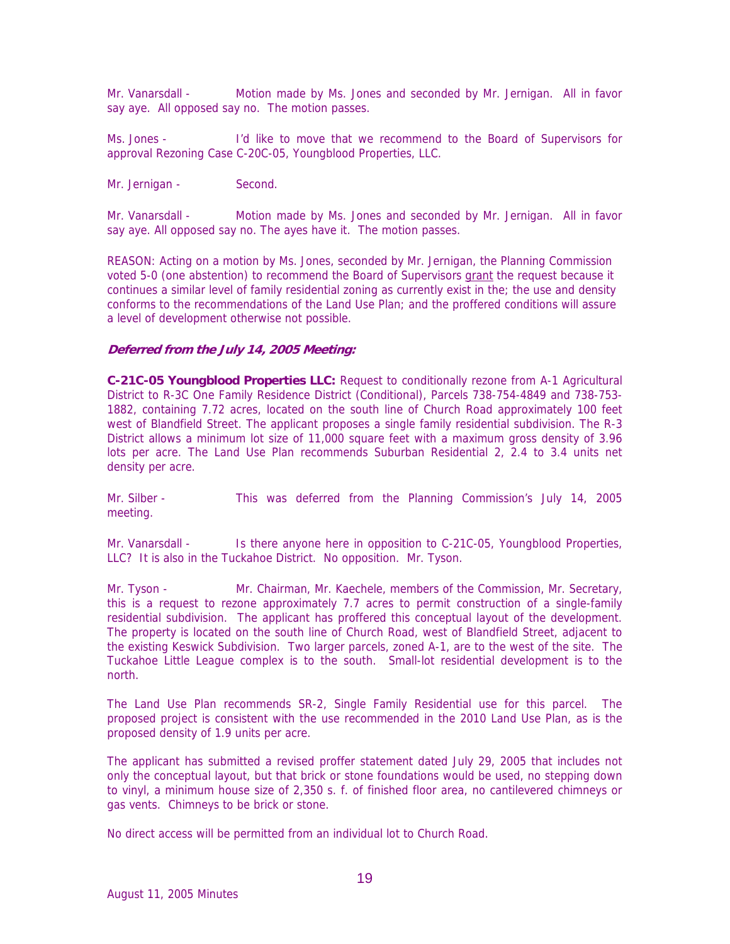Mr. Vanarsdall - Motion made by Ms. Jones and seconded by Mr. Jernigan. All in favor say aye. All opposed say no. The motion passes.

Ms. Jones - I'd like to move that we recommend to the Board of Supervisors for approval Rezoning Case C-20C-05, Youngblood Properties, LLC.

Mr. Jernigan - Second.

Mr. Vanarsdall - Motion made by Ms. Jones and seconded by Mr. Jernigan. All in favor say aye. All opposed say no. The ayes have it. The motion passes.

REASON: Acting on a motion by Ms. Jones, seconded by Mr. Jernigan, the Planning Commission voted 5-0 (one abstention) to recommend the Board of Supervisors grant the request because it continues a similar level of family residential zoning as currently exist in the; the use and density conforms to the recommendations of the Land Use Plan; and the proffered conditions will assure a level of development otherwise not possible.

### **Deferred from the July 14, 2005 Meeting:**

**C-21C-05 Youngblood Properties LLC:** Request to conditionally rezone from A-1 Agricultural District to R-3C One Family Residence District (Conditional), Parcels 738-754-4849 and 738-753- 1882, containing 7.72 acres, located on the south line of Church Road approximately 100 feet west of Blandfield Street. The applicant proposes a single family residential subdivision. The R-3 District allows a minimum lot size of 11,000 square feet with a maximum gross density of 3.96 lots per acre. The Land Use Plan recommends Suburban Residential 2, 2.4 to 3.4 units net density per acre.

Mr. Silber - This was deferred from the Planning Commission's July 14, 2005 meeting.

Mr. Vanarsdall - Is there anyone here in opposition to C-21C-05, Youngblood Properties, LLC? It is also in the Tuckahoe District. No opposition. Mr. Tyson.

Mr. Tyson - Mr. Chairman, Mr. Kaechele, members of the Commission, Mr. Secretary, this is a request to rezone approximately 7.7 acres to permit construction of a single-family residential subdivision. The applicant has proffered this conceptual layout of the development. The property is located on the south line of Church Road, west of Blandfield Street, adjacent to the existing Keswick Subdivision. Two larger parcels, zoned A-1, are to the west of the site. The Tuckahoe Little League complex is to the south. Small-lot residential development is to the north.

The Land Use Plan recommends SR-2, Single Family Residential use for this parcel. The proposed project is consistent with the use recommended in the 2010 Land Use Plan, as is the proposed density of 1.9 units per acre.

The applicant has submitted a revised proffer statement dated July 29, 2005 that includes not only the conceptual layout, but that brick or stone foundations would be used, no stepping down to vinyl, a minimum house size of 2,350 s. f. of finished floor area, no cantilevered chimneys or gas vents. Chimneys to be brick or stone.

No direct access will be permitted from an individual lot to Church Road.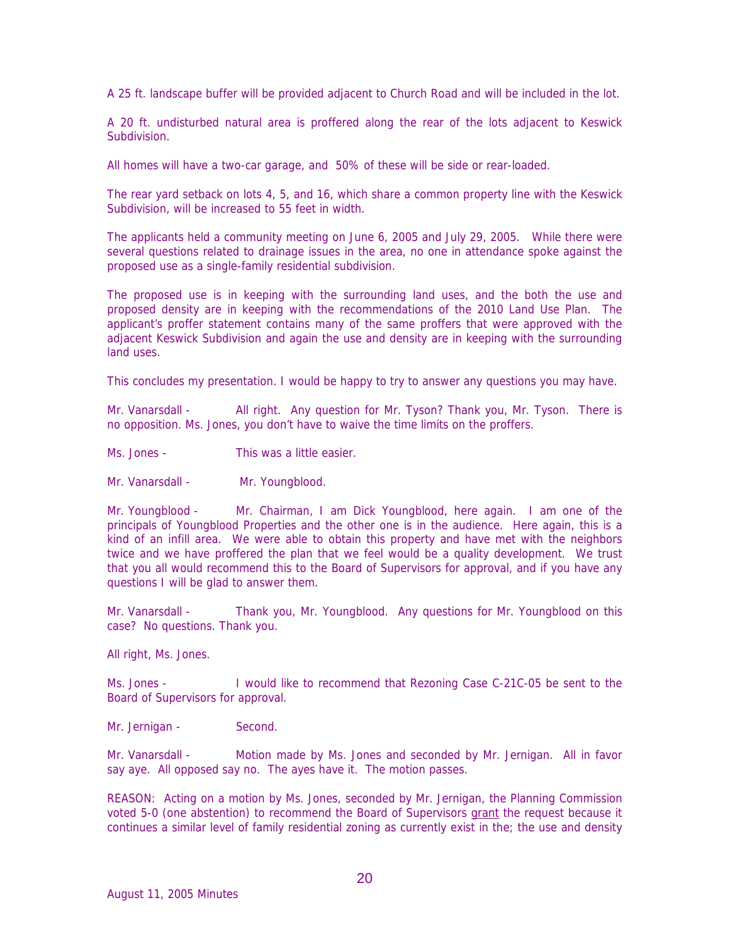A 25 ft. landscape buffer will be provided adjacent to Church Road and will be included in the lot.

A 20 ft. undisturbed natural area is proffered along the rear of the lots adjacent to Keswick Subdivision.

All homes will have a two-car garage, and 50% of these will be side or rear-loaded.

The rear yard setback on lots 4, 5, and 16, which share a common property line with the Keswick Subdivision, will be increased to 55 feet in width.

The applicants held a community meeting on June 6, 2005 and July 29, 2005. While there were several questions related to drainage issues in the area, no one in attendance spoke against the proposed use as a single-family residential subdivision.

The proposed use is in keeping with the surrounding land uses, and the both the use and proposed density are in keeping with the recommendations of the 2010 Land Use Plan. The applicant's proffer statement contains many of the same proffers that were approved with the adjacent Keswick Subdivision and again the use and density are in keeping with the surrounding land uses.

This concludes my presentation. I would be happy to try to answer any questions you may have.

Mr. Vanarsdall - All right. Any question for Mr. Tyson? Thank you, Mr. Tyson. There is no opposition. Ms. Jones, you don't have to waive the time limits on the proffers.

Ms. Jones - This was a little easier.

Mr. Vanarsdall - Mr. Youngblood.

Mr. Youngblood - Mr. Chairman, I am Dick Youngblood, here again. I am one of the principals of Youngblood Properties and the other one is in the audience. Here again, this is a kind of an infill area. We were able to obtain this property and have met with the neighbors twice and we have proffered the plan that we feel would be a quality development. We trust that you all would recommend this to the Board of Supervisors for approval, and if you have any questions I will be glad to answer them.

Mr. Vanarsdall - Thank you, Mr. Youngblood. Any questions for Mr. Youngblood on this case? No questions. Thank you.

All right, Ms. Jones.

Ms. Jones - I would like to recommend that Rezoning Case C-21C-05 be sent to the Board of Supervisors for approval.

Mr. Jernigan - Second.

Mr. Vanarsdall - Motion made by Ms. Jones and seconded by Mr. Jernigan. All in favor say aye. All opposed say no. The ayes have it. The motion passes.

REASON: Acting on a motion by Ms. Jones, seconded by Mr. Jernigan, the Planning Commission voted 5-0 (one abstention) to recommend the Board of Supervisors grant the request because it continues a similar level of family residential zoning as currently exist in the; the use and density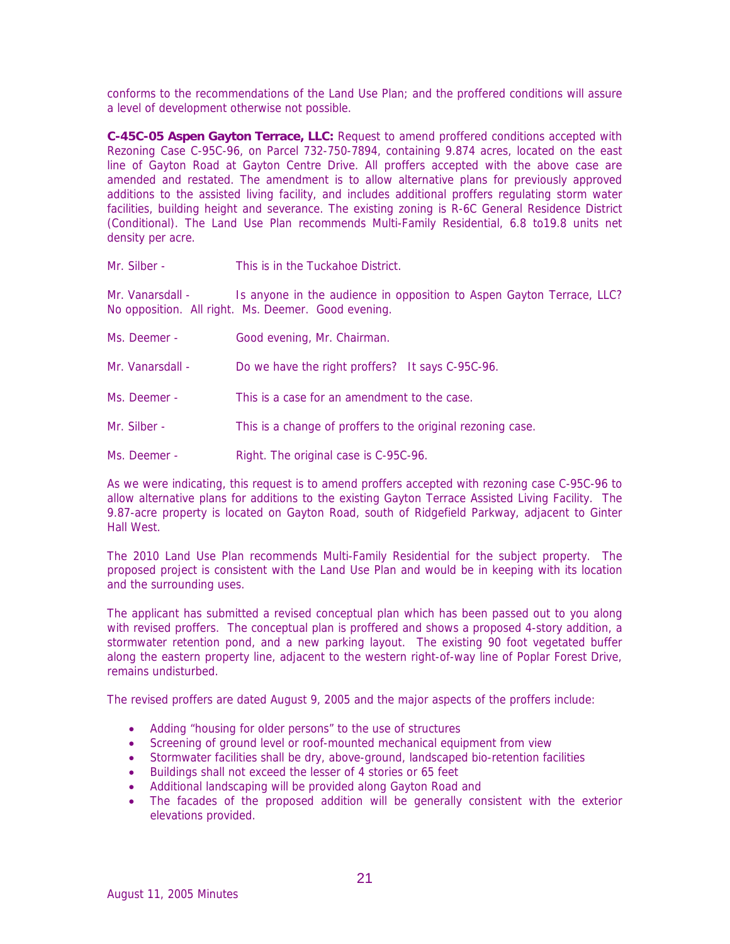conforms to the recommendations of the Land Use Plan; and the proffered conditions will assure a level of development otherwise not possible.

**C-45C-05 Aspen Gayton Terrace, LLC:** Request to amend proffered conditions accepted with Rezoning Case C-95C-96, on Parcel 732-750-7894, containing 9.874 acres, located on the east line of Gayton Road at Gayton Centre Drive. All proffers accepted with the above case are amended and restated. The amendment is to allow alternative plans for previously approved additions to the assisted living facility, and includes additional proffers regulating storm water facilities, building height and severance. The existing zoning is R-6C General Residence District (Conditional). The Land Use Plan recommends Multi-Family Residential, 6.8 to19.8 units net density per acre.

Mr. Silber - This is in the Tuckahoe District.

Mr. Vanarsdall - Is anyone in the audience in opposition to Aspen Gayton Terrace, LLC? No opposition. All right. Ms. Deemer. Good evening.

- Ms. Deemer Good evening, Mr. Chairman.
- Mr. Vanarsdall Do we have the right proffers? It says C-95C-96.
- Ms. Deemer This is a case for an amendment to the case.
- Mr. Silber This is a change of proffers to the original rezoning case.
- Ms. Deemer Right. The original case is C-95C-96.

As we were indicating, this request is to amend proffers accepted with rezoning case C-95C-96 to allow alternative plans for additions to the existing Gayton Terrace Assisted Living Facility. The 9.87-acre property is located on Gayton Road, south of Ridgefield Parkway, adjacent to Ginter Hall West.

The 2010 Land Use Plan recommends Multi-Family Residential for the subject property. The proposed project is consistent with the Land Use Plan and would be in keeping with its location and the surrounding uses.

The applicant has submitted a revised conceptual plan which has been passed out to you along with revised proffers. The conceptual plan is proffered and shows a proposed 4-story addition, a stormwater retention pond, and a new parking layout. The existing 90 foot vegetated buffer along the eastern property line, adjacent to the western right-of-way line of Poplar Forest Drive, remains undisturbed.

The revised proffers are dated August 9, 2005 and the major aspects of the proffers include:

- Adding "housing for older persons" to the use of structures
- Screening of ground level or roof-mounted mechanical equipment from view
- Stormwater facilities shall be dry, above-ground, landscaped bio-retention facilities
- Buildings shall not exceed the lesser of 4 stories or 65 feet
- Additional landscaping will be provided along Gayton Road and
- The facades of the proposed addition will be generally consistent with the exterior elevations provided.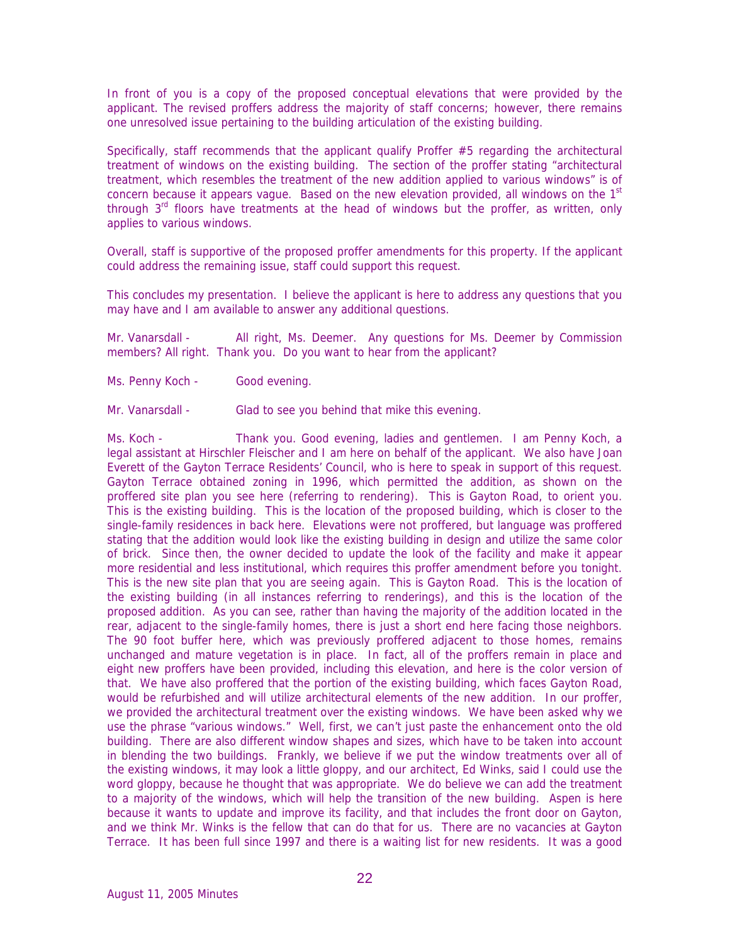In front of you is a copy of the proposed conceptual elevations that were provided by the applicant. The revised proffers address the majority of staff concerns; however, there remains one unresolved issue pertaining to the building articulation of the existing building.

Specifically, staff recommends that the applicant qualify Proffer #5 regarding the architectural treatment of windows on the existing building. The section of the proffer stating "architectural treatment, which resembles the treatment of the new addition applied to various windows" is of concern because it appears vague. Based on the new elevation provided, all windows on the  $1<sup>st</sup>$ through  $3<sup>rd</sup>$  floors have treatments at the head of windows but the proffer, as written, only applies to various windows.

Overall, staff is supportive of the proposed proffer amendments for this property. If the applicant could address the remaining issue, staff could support this request.

This concludes my presentation. I believe the applicant is here to address any questions that you may have and I am available to answer any additional questions.

Mr. Vanarsdall - All right, Ms. Deemer. Any questions for Ms. Deemer by Commission members? All right. Thank you. Do you want to hear from the applicant?

Ms. Penny Koch - Good evening.

Mr. Vanarsdall - Glad to see you behind that mike this evening.

Ms. Koch - Thank you. Good evening, ladies and gentlemen. I am Penny Koch, a legal assistant at Hirschler Fleischer and I am here on behalf of the applicant. We also have Joan Everett of the Gayton Terrace Residents' Council, who is here to speak in support of this request. Gayton Terrace obtained zoning in 1996, which permitted the addition, as shown on the proffered site plan you see here (referring to rendering). This is Gayton Road, to orient you. This is the existing building. This is the location of the proposed building, which is closer to the single-family residences in back here. Elevations were not proffered, but language was proffered stating that the addition would look like the existing building in design and utilize the same color of brick. Since then, the owner decided to update the look of the facility and make it appear more residential and less institutional, which requires this proffer amendment before you tonight. This is the new site plan that you are seeing again. This is Gayton Road. This is the location of the existing building (in all instances referring to renderings), and this is the location of the proposed addition. As you can see, rather than having the majority of the addition located in the rear, adjacent to the single-family homes, there is just a short end here facing those neighbors. The 90 foot buffer here, which was previously proffered adjacent to those homes, remains unchanged and mature vegetation is in place. In fact, all of the proffers remain in place and eight new proffers have been provided, including this elevation, and here is the color version of that. We have also proffered that the portion of the existing building, which faces Gayton Road, would be refurbished and will utilize architectural elements of the new addition. In our proffer, we provided the architectural treatment over the existing windows. We have been asked why we use the phrase "various windows." Well, first, we can't just paste the enhancement onto the old building. There are also different window shapes and sizes, which have to be taken into account in blending the two buildings. Frankly, we believe if we put the window treatments over all of the existing windows, it may look a little gloppy, and our architect, Ed Winks, said I could use the word gloppy, because he thought that was appropriate. We do believe we can add the treatment to a majority of the windows, which will help the transition of the new building. Aspen is here because it wants to update and improve its facility, and that includes the front door on Gayton, and we think Mr. Winks is the fellow that can do that for us. There are no vacancies at Gayton Terrace. It has been full since 1997 and there is a waiting list for new residents. It was a good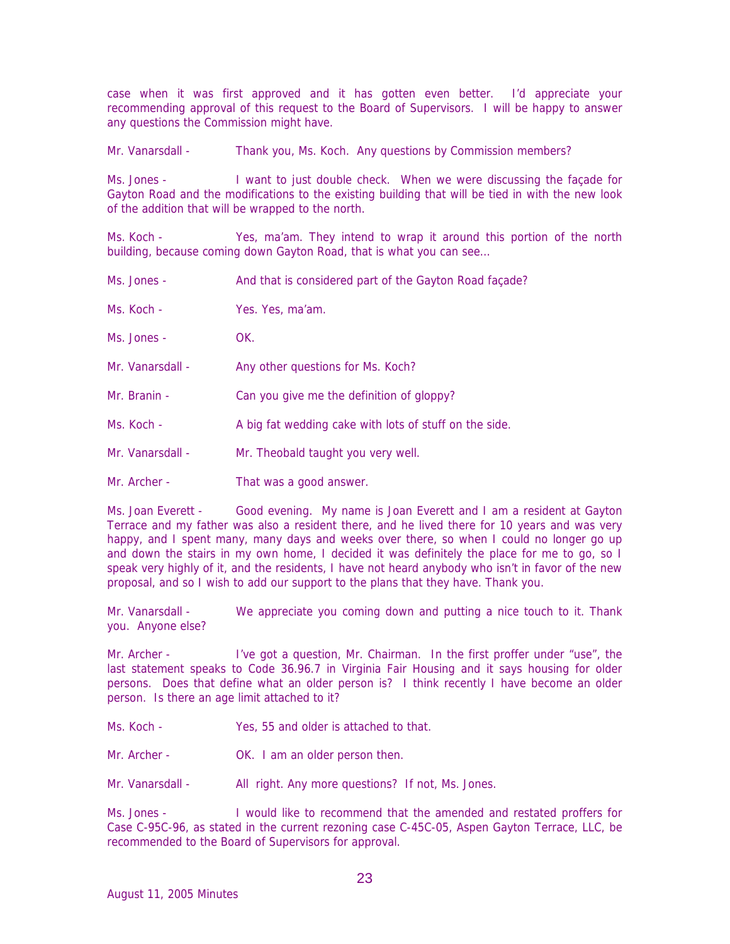case when it was first approved and it has gotten even better. I'd appreciate your recommending approval of this request to the Board of Supervisors. I will be happy to answer any questions the Commission might have.

Mr. Vanarsdall - Thank you, Ms. Koch. Any questions by Commission members?

Ms. Jones - I want to just double check. When we were discussing the façade for Gayton Road and the modifications to the existing building that will be tied in with the new look of the addition that will be wrapped to the north.

Ms. Koch - Yes, ma'am. They intend to wrap it around this portion of the north building, because coming down Gayton Road, that is what you can see…

- Ms. Jones And that is considered part of the Gayton Road façade?
- Ms. Koch Yes. Yes. ma'am.
- Ms. Jones OK.
- Mr. Vanarsdall Any other questions for Ms. Koch?
- Mr. Branin Can you give me the definition of gloppy?
- Ms. Koch A big fat wedding cake with lots of stuff on the side.
- Mr. Vanarsdall Mr. Theobald taught you very well.
- Mr. Archer That was a good answer.

Ms. Joan Everett - Good evening. My name is Joan Everett and I am a resident at Gayton Terrace and my father was also a resident there, and he lived there for 10 years and was very happy, and I spent many, many days and weeks over there, so when I could no longer go up and down the stairs in my own home, I decided it was definitely the place for me to go, so I speak very highly of it, and the residents, I have not heard anybody who isn't in favor of the new proposal, and so I wish to add our support to the plans that they have. Thank you.

Mr. Vanarsdall - We appreciate you coming down and putting a nice touch to it. Thank you. Anyone else?

Mr. Archer - I've got a question, Mr. Chairman. In the first proffer under "use", the last statement speaks to Code 36.96.7 in Virginia Fair Housing and it says housing for older persons. Does that define what an older person is? I think recently I have become an older person. Is there an age limit attached to it?

- Ms. Koch The Yes, 55 and older is attached to that.
- Mr. Archer **OK.** I am an older person then.
- Mr. Vanarsdall All right. Any more questions? If not, Ms. Jones.

Ms. Jones - I would like to recommend that the amended and restated proffers for Case C-95C-96, as stated in the current rezoning case C-45C-05, Aspen Gayton Terrace, LLC, be recommended to the Board of Supervisors for approval.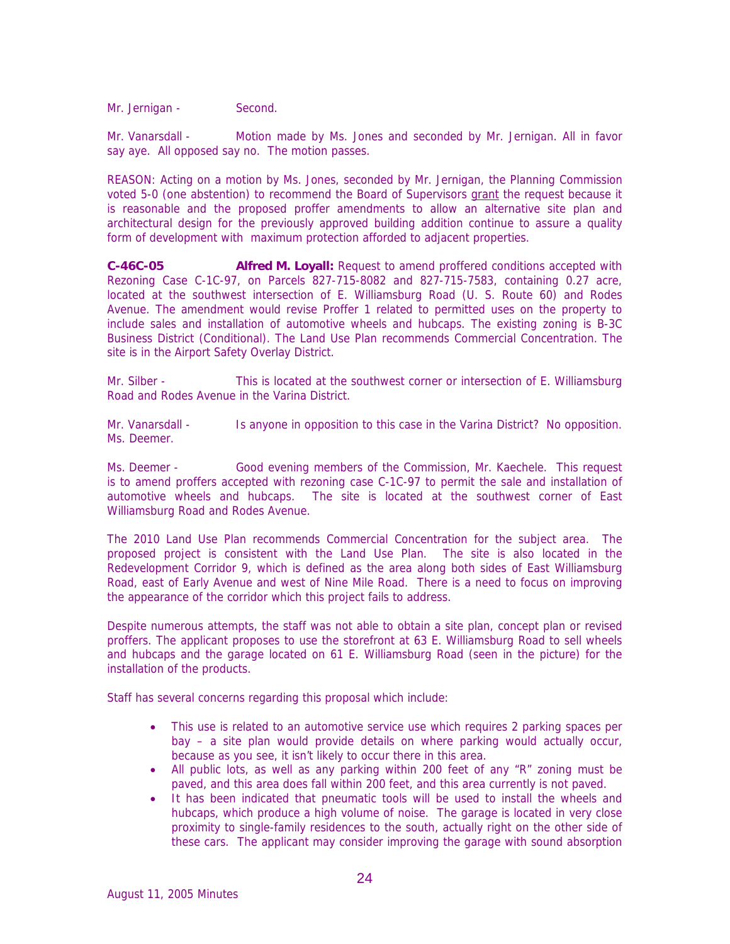Mr. Jernigan - Second.

Mr. Vanarsdall - Motion made by Ms. Jones and seconded by Mr. Jernigan. All in favor say aye. All opposed say no. The motion passes.

REASON: Acting on a motion by Ms. Jones, seconded by Mr. Jernigan, the Planning Commission voted 5-0 (one abstention) to recommend the Board of Supervisors grant the request because it is reasonable and the proposed proffer amendments to allow an alternative site plan and architectural design for the previously approved building addition continue to assure a quality form of development with maximum protection afforded to adjacent properties.

**C-46C-05 Alfred M. Loyall:** Request to amend proffered conditions accepted with Rezoning Case C-1C-97, on Parcels 827-715-8082 and 827-715-7583, containing 0.27 acre, located at the southwest intersection of E. Williamsburg Road (U. S. Route 60) and Rodes Avenue. The amendment would revise Proffer 1 related to permitted uses on the property to include sales and installation of automotive wheels and hubcaps. The existing zoning is B-3C Business District (Conditional). The Land Use Plan recommends Commercial Concentration. The site is in the Airport Safety Overlay District.

Mr. Silber - This is located at the southwest corner or intersection of E. Williamsburg Road and Rodes Avenue in the Varina District.

Mr. Vanarsdall - Is anyone in opposition to this case in the Varina District? No opposition. Ms. Deemer.

Ms. Deemer - Good evening members of the Commission, Mr. Kaechele. This request is to amend proffers accepted with rezoning case C-1C-97 to permit the sale and installation of automotive wheels and hubcaps. The site is located at the southwest corner of East Williamsburg Road and Rodes Avenue.

The 2010 Land Use Plan recommends Commercial Concentration for the subject area. The proposed project is consistent with the Land Use Plan. The site is also located in the Redevelopment Corridor 9, which is defined as the area along both sides of East Williamsburg Road, east of Early Avenue and west of Nine Mile Road. There is a need to focus on improving the appearance of the corridor which this project fails to address.

Despite numerous attempts, the staff was not able to obtain a site plan, concept plan or revised proffers. The applicant proposes to use the storefront at 63 E. Williamsburg Road to sell wheels and hubcaps and the garage located on 61 E. Williamsburg Road (seen in the picture) for the installation of the products.

Staff has several concerns regarding this proposal which include:

- This use is related to an automotive service use which requires 2 parking spaces per bay – a site plan would provide details on where parking would actually occur, because as you see, it isn't likely to occur there in this area.
- All public lots, as well as any parking within 200 feet of any "R" zoning must be paved, and this area does fall within 200 feet, and this area currently is not paved.
- It has been indicated that pneumatic tools will be used to install the wheels and hubcaps, which produce a high volume of noise. The garage is located in very close proximity to single-family residences to the south, actually right on the other side of these cars. The applicant may consider improving the garage with sound absorption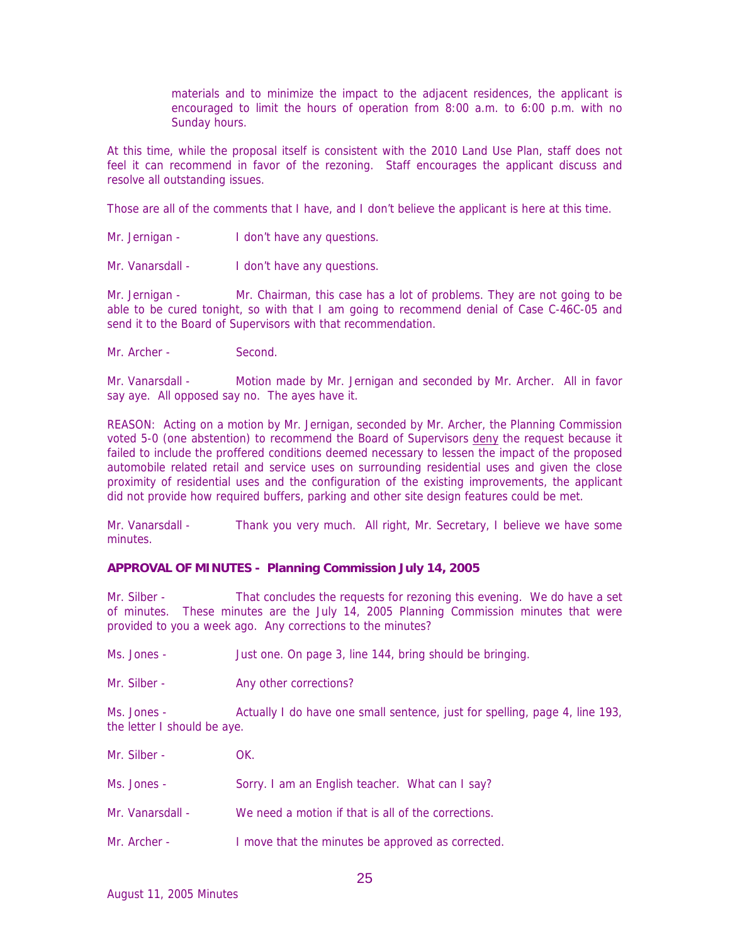materials and to minimize the impact to the adjacent residences, the applicant is encouraged to limit the hours of operation from 8:00 a.m. to 6:00 p.m. with no Sunday hours.

At this time, while the proposal itself is consistent with the 2010 Land Use Plan, staff does not feel it can recommend in favor of the rezoning. Staff encourages the applicant discuss and resolve all outstanding issues.

Those are all of the comments that I have, and I don't believe the applicant is here at this time.

- Mr. Jernigan I don't have any questions.
- Mr. Vanarsdall I don't have any questions.

Mr. Jernigan - Mr. Chairman, this case has a lot of problems. They are not going to be able to be cured tonight, so with that I am going to recommend denial of Case C-46C-05 and send it to the Board of Supervisors with that recommendation.

Mr. Archer - Second.

Mr. Vanarsdall - Motion made by Mr. Jernigan and seconded by Mr. Archer. All in favor say aye. All opposed say no. The ayes have it.

REASON: Acting on a motion by Mr. Jernigan, seconded by Mr. Archer, the Planning Commission voted 5-0 (one abstention) to recommend the Board of Supervisors deny the request because it failed to include the proffered conditions deemed necessary to lessen the impact of the proposed automobile related retail and service uses on surrounding residential uses and given the close proximity of residential uses and the configuration of the existing improvements, the applicant did not provide how required buffers, parking and other site design features could be met.

Mr. Vanarsdall - Thank you very much. All right, Mr. Secretary, I believe we have some minutes.

### **APPROVAL OF MINUTES - Planning Commission July 14, 2005**

Mr. Silber - That concludes the requests for rezoning this evening. We do have a set of minutes. These minutes are the July 14, 2005 Planning Commission minutes that were provided to you a week ago. Any corrections to the minutes?

- Ms. Jones Just one. On page 3, line 144, bring should be bringing.
- Mr. Silber Any other corrections?

Ms. Jones - Actually I do have one small sentence, just for spelling, page 4, line 193, the letter I should be aye.

- Mr. Silber OK.
- Ms. Jones Sorry. I am an English teacher. What can I say?
- Mr. Vanarsdall We need a motion if that is all of the corrections.
- Mr. Archer **I** move that the minutes be approved as corrected.